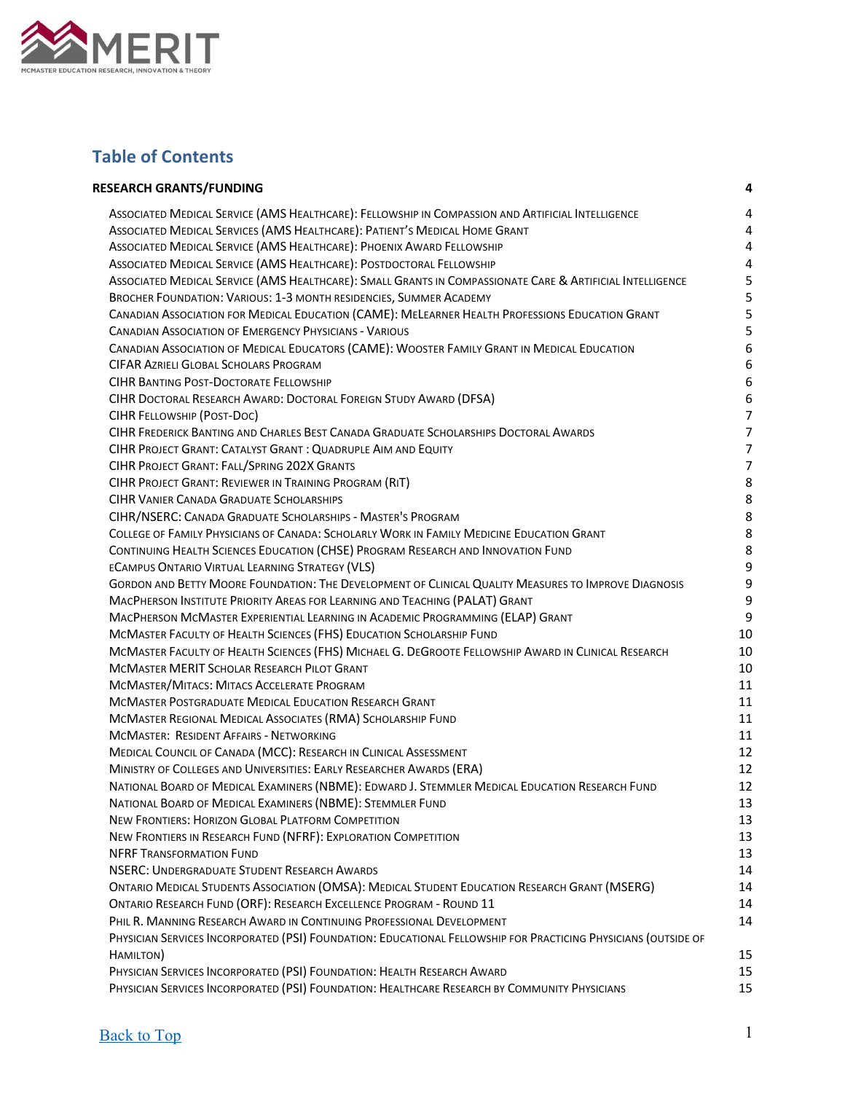

# **Table of Contents**

| <b>RESEARCH GRANTS/FUNDING</b>                                                                                 | 4                |
|----------------------------------------------------------------------------------------------------------------|------------------|
| ASSOCIATED MEDICAL SERVICE (AMS HEALTHCARE): FELLOWSHIP IN COMPASSION AND ARTIFICIAL INTELLIGENCE              | 4                |
| ASSOCIATED MEDICAL SERVICES (AMS HEALTHCARE): PATIENT'S MEDICAL HOME GRANT                                     | 4                |
| ASSOCIATED MEDICAL SERVICE (AMS HEALTHCARE): PHOENIX AWARD FELLOWSHIP                                          | $\overline{4}$   |
| ASSOCIATED MEDICAL SERVICE (AMS HEALTHCARE): POSTDOCTORAL FELLOWSHIP                                           | $\overline{4}$   |
| ASSOCIATED MEDICAL SERVICE (AMS HEALTHCARE): SMALL GRANTS IN COMPASSIONATE CARE & ARTIFICIAL INTELLIGENCE      | 5                |
| BROCHER FOUNDATION: VARIOUS: 1-3 MONTH RESIDENCIES, SUMMER ACADEMY                                             | 5                |
| CANADIAN ASSOCIATION FOR MEDICAL EDUCATION (CAME): MELEARNER HEALTH PROFESSIONS EDUCATION GRANT                | 5                |
| <b>CANADIAN ASSOCIATION OF EMERGENCY PHYSICIANS - VARIOUS</b>                                                  | 5                |
| CANADIAN ASSOCIATION OF MEDICAL EDUCATORS (CAME): WOOSTER FAMILY GRANT IN MEDICAL EDUCATION                    | 6                |
| <b>CIFAR AZRIELI GLOBAL SCHOLARS PROGRAM</b>                                                                   | 6                |
| <b>CIHR BANTING POST-DOCTORATE FELLOWSHIP</b>                                                                  | $\boldsymbol{6}$ |
| CIHR DOCTORAL RESEARCH AWARD: DOCTORAL FOREIGN STUDY AWARD (DFSA)                                              | $\boldsymbol{6}$ |
| CIHR FELLOWSHIP (POST-DOC)                                                                                     | 7                |
| CIHR FREDERICK BANTING AND CHARLES BEST CANADA GRADUATE SCHOLARSHIPS DOCTORAL AWARDS                           | $\overline{7}$   |
| CIHR PROJECT GRANT: CATALYST GRANT : QUADRUPLE AIM AND EQUITY                                                  | $\overline{7}$   |
| CIHR PROJECT GRANT: FALL/SPRING 202X GRANTS                                                                    | 7                |
| CIHR PROJECT GRANT: REVIEWER IN TRAINING PROGRAM (RIT)                                                         | 8                |
| <b>CIHR VANIER CANADA GRADUATE SCHOLARSHIPS</b>                                                                | 8                |
| CIHR/NSERC: CANADA GRADUATE SCHOLARSHIPS - MASTER'S PROGRAM                                                    | 8                |
| COLLEGE OF FAMILY PHYSICIANS OF CANADA: SCHOLARLY WORK IN FAMILY MEDICINE EDUCATION GRANT                      | 8                |
| CONTINUING HEALTH SCIENCES EDUCATION (CHSE) PROGRAM RESEARCH AND INNOVATION FUND                               | 8                |
| <b>ECAMPUS ONTARIO VIRTUAL LEARNING STRATEGY (VLS)</b>                                                         | 9                |
| GORDON AND BETTY MOORE FOUNDATION: THE DEVELOPMENT OF CLINICAL QUALITY MEASURES TO IMPROVE DIAGNOSIS           | 9                |
| MACPHERSON INSTITUTE PRIORITY AREAS FOR LEARNING AND TEACHING (PALAT) GRANT                                    | 9                |
| MACPHERSON MCMASTER EXPERIENTIAL LEARNING IN ACADEMIC PROGRAMMING (ELAP) GRANT                                 | 9                |
| MCMASTER FACULTY OF HEALTH SCIENCES (FHS) EDUCATION SCHOLARSHIP FUND                                           | 10               |
| MCMASTER FACULTY OF HEALTH SCIENCES (FHS) MICHAEL G. DEGROOTE FELLOWSHIP AWARD IN CLINICAL RESEARCH            | 10               |
| MCMASTER MERIT SCHOLAR RESEARCH PILOT GRANT                                                                    | 10               |
| MCMASTER/MITACS: MITACS ACCELERATE PROGRAM                                                                     | 11               |
| MCMASTER POSTGRADUATE MEDICAL EDUCATION RESEARCH GRANT                                                         | 11               |
| MCMASTER REGIONAL MEDICAL ASSOCIATES (RMA) SCHOLARSHIP FUND                                                    | 11               |
| <b>MCMASTER: RESIDENT AFFAIRS - NETWORKING</b>                                                                 | 11               |
| MEDICAL COUNCIL OF CANADA (MCC): RESEARCH IN CLINICAL ASSESSMENT                                               | 12               |
| MINISTRY OF COLLEGES AND UNIVERSITIES: EARLY RESEARCHER AWARDS (ERA)                                           | 12               |
| NATIONAL BOARD OF MEDICAL EXAMINERS (NBME): EDWARD J. STEMMLER MEDICAL EDUCATION RESEARCH FUND                 | 12               |
| NATIONAL BOARD OF MEDICAL EXAMINERS (NBME): STEMMLER FUND                                                      | 13               |
| NEW FRONTIERS: HORIZON GLOBAL PLATFORM COMPETITION                                                             | 13               |
| NEW FRONTIERS IN RESEARCH FUND (NFRF): EXPLORATION COMPETITION                                                 | 13               |
| <b>NFRF TRANSFORMATION FUND</b>                                                                                | 13               |
| <b>NSERC: UNDERGRADUATE STUDENT RESEARCH AWARDS</b>                                                            | 14               |
| <b>ONTARIO MEDICAL STUDENTS ASSOCIATION (OMSA): MEDICAL STUDENT EDUCATION RESEARCH GRANT (MSERG)</b>           | 14               |
| ONTARIO RESEARCH FUND (ORF): RESEARCH EXCELLENCE PROGRAM - ROUND 11                                            | 14               |
| PHIL R. MANNING RESEARCH AWARD IN CONTINUING PROFESSIONAL DEVELOPMENT                                          | 14               |
| PHYSICIAN SERVICES INCORPORATED (PSI) FOUNDATION: EDUCATIONAL FELLOWSHIP FOR PRACTICING PHYSICIANS (OUTSIDE OF |                  |
| HAMILTON)                                                                                                      | 15               |
| PHYSICIAN SERVICES INCORPORATED (PSI) FOUNDATION: HEALTH RESEARCH AWARD                                        | 15               |
| PHYSICIAN SERVICES INCORPORATED (PSI) FOUNDATION: HEALTHCARE RESEARCH BY COMMUNITY PHYSICIANS                  | 15               |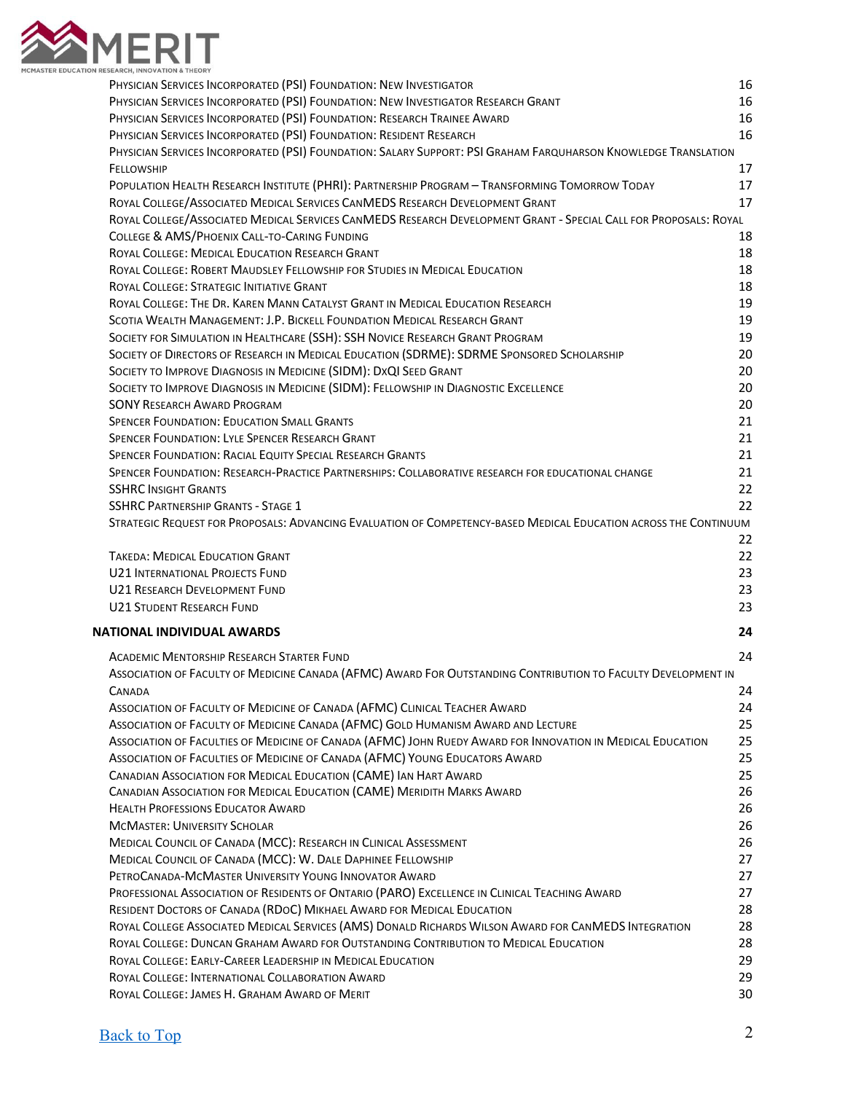

| PHYSICIAN SERVICES INCORPORATED (PSI) FOUNDATION: NEW INVESTIGATOR                                               | 16 |
|------------------------------------------------------------------------------------------------------------------|----|
| PHYSICIAN SERVICES INCORPORATED (PSI) FOUNDATION: NEW INVESTIGATOR RESEARCH GRANT                                | 16 |
| PHYSICIAN SERVICES INCORPORATED (PSI) FOUNDATION: RESEARCH TRAINEE AWARD                                         | 16 |
| PHYSICIAN SERVICES INCORPORATED (PSI) FOUNDATION: RESIDENT RESEARCH                                              | 16 |
| PHYSICIAN SERVICES INCORPORATED (PSI) FOUNDATION: SALARY SUPPORT: PSI GRAHAM FARQUHARSON KNOWLEDGE TRANSLATION   |    |
| FELLOWSHIP                                                                                                       | 17 |
| POPULATION HEALTH RESEARCH INSTITUTE (PHRI): PARTNERSHIP PROGRAM - TRANSFORMING TOMORROW TODAY                   | 17 |
| ROYAL COLLEGE/ASSOCIATED MEDICAL SERVICES CANMEDS RESEARCH DEVELOPMENT GRANT                                     | 17 |
| ROYAL COLLEGE/ASSOCIATED MEDICAL SERVICES CANMEDS RESEARCH DEVELOPMENT GRANT - SPECIAL CALL FOR PROPOSALS: ROYAL |    |
| COLLEGE & AMS/PHOENIX CALL-TO-CARING FUNDING                                                                     | 18 |
| ROYAL COLLEGE: MEDICAL EDUCATION RESEARCH GRANT                                                                  | 18 |
| ROYAL COLLEGE: ROBERT MAUDSLEY FELLOWSHIP FOR STUDIES IN MEDICAL EDUCATION                                       | 18 |
| ROYAL COLLEGE: STRATEGIC INITIATIVE GRANT                                                                        | 18 |
| ROYAL COLLEGE: THE DR. KAREN MANN CATALYST GRANT IN MEDICAL EDUCATION RESEARCH                                   | 19 |
| SCOTIA WEALTH MANAGEMENT: J.P. BICKELL FOUNDATION MEDICAL RESEARCH GRANT                                         | 19 |
| SOCIETY FOR SIMULATION IN HEALTHCARE (SSH): SSH NOVICE RESEARCH GRANT PROGRAM                                    | 19 |
| SOCIETY OF DIRECTORS OF RESEARCH IN MEDICAL EDUCATION (SDRME): SDRME SPONSORED SCHOLARSHIP                       | 20 |
| SOCIETY TO IMPROVE DIAGNOSIS IN MEDICINE (SIDM): DXQI SEED GRANT                                                 | 20 |
| SOCIETY TO IMPROVE DIAGNOSIS IN MEDICINE (SIDM): FELLOWSHIP IN DIAGNOSTIC EXCELLENCE                             | 20 |
| <b>SONY RESEARCH AWARD PROGRAM</b>                                                                               | 20 |
| <b>SPENCER FOUNDATION: EDUCATION SMALL GRANTS</b>                                                                | 21 |
| <b>SPENCER FOUNDATION: LYLE SPENCER RESEARCH GRANT</b>                                                           | 21 |
| SPENCER FOUNDATION: RACIAL EQUITY SPECIAL RESEARCH GRANTS                                                        | 21 |
| SPENCER FOUNDATION: RESEARCH-PRACTICE PARTNERSHIPS: COLLABORATIVE RESEARCH FOR EDUCATIONAL CHANGE                | 21 |
| <b>SSHRC INSIGHT GRANTS</b>                                                                                      | 22 |
| <b>SSHRC PARTNERSHIP GRANTS - STAGE 1</b>                                                                        | 22 |
| STRATEGIC REQUEST FOR PROPOSALS: ADVANCING EVALUATION OF COMPETENCY-BASED MEDICAL EDUCATION ACROSS THE CONTINUUM |    |
|                                                                                                                  | 22 |
| TAKEDA: MEDICAL EDUCATION GRANT                                                                                  | 22 |
| <b>U21 INTERNATIONAL PROJECTS FUND</b>                                                                           | 23 |
| U21 RESEARCH DEVELOPMENT FUND                                                                                    | 23 |
| <b>U21 STUDENT RESEARCH FUND</b>                                                                                 | 23 |
| NATIONAL INDIVIDUAL AWARDS                                                                                       | 24 |
| <b>ACADEMIC MENTORSHIP RESEARCH STARTER FUND</b>                                                                 | 24 |
| ASSOCIATION OF FACULTY OF MEDICINE CANADA (AFMC) AWARD FOR OUTSTANDING CONTRIBUTION TO FACULTY DEVELOPMENT IN    |    |
| <b>CANADA</b>                                                                                                    | 24 |
| ASSOCIATION OF FACULTY OF MEDICINE OF CANADA (AFMC) CLINICAL TEACHER AWARD                                       | 24 |
| ASSOCIATION OF FACULTY OF MEDICINE CANADA (AFMC) GOLD HUMANISM AWARD AND LECTURE                                 | 25 |
| ASSOCIATION OF FACULTIES OF MEDICINE OF CANADA (AFMC) JOHN RUEDY AWARD FOR INNOVATION IN MEDICAL EDUCATION       | 25 |
| ASSOCIATION OF FACULTIES OF MEDICINE OF CANADA (AFMC) YOUNG EDUCATORS AWARD                                      | 25 |
| CANADIAN ASSOCIATION FOR MEDICAL EDUCATION (CAME) IAN HART AWARD                                                 | 25 |
| CANADIAN ASSOCIATION FOR MEDICAL EDUCATION (CAME) MERIDITH MARKS AWARD                                           | 26 |
| <b>HEALTH PROFESSIONS EDUCATOR AWARD</b>                                                                         | 26 |
| <b>MCMASTER: UNIVERSITY SCHOLAR</b>                                                                              | 26 |
| MEDICAL COUNCIL OF CANADA (MCC): RESEARCH IN CLINICAL ASSESSMENT                                                 | 26 |
| MEDICAL COUNCIL OF CANADA (MCC): W. DALE DAPHINEE FELLOWSHIP                                                     | 27 |
| PETROCANADA-MCMASTER UNIVERSITY YOUNG INNOVATOR AWARD                                                            | 27 |
| PROFESSIONAL ASSOCIATION OF RESIDENTS OF ONTARIO (PARO) EXCELLENCE IN CLINICAL TEACHING AWARD                    | 27 |
| RESIDENT DOCTORS OF CANADA (RDOC) MIKHAEL AWARD FOR MEDICAL EDUCATION                                            | 28 |
| ROYAL COLLEGE ASSOCIATED MEDICAL SERVICES (AMS) DONALD RICHARDS WILSON AWARD FOR CANMEDS INTEGRATION             | 28 |
| ROYAL COLLEGE: DUNCAN GRAHAM AWARD FOR OUTSTANDING CONTRIBUTION TO MEDICAL EDUCATION                             | 28 |
| ROYAL COLLEGE: EARLY-CAREER LEADERSHIP IN MEDICAL EDUCATION                                                      | 29 |
| ROYAL COLLEGE: INTERNATIONAL COLLABORATION AWARD                                                                 | 29 |
| ROYAL COLLEGE: JAMES H. GRAHAM AWARD OF MERIT                                                                    | 30 |
|                                                                                                                  |    |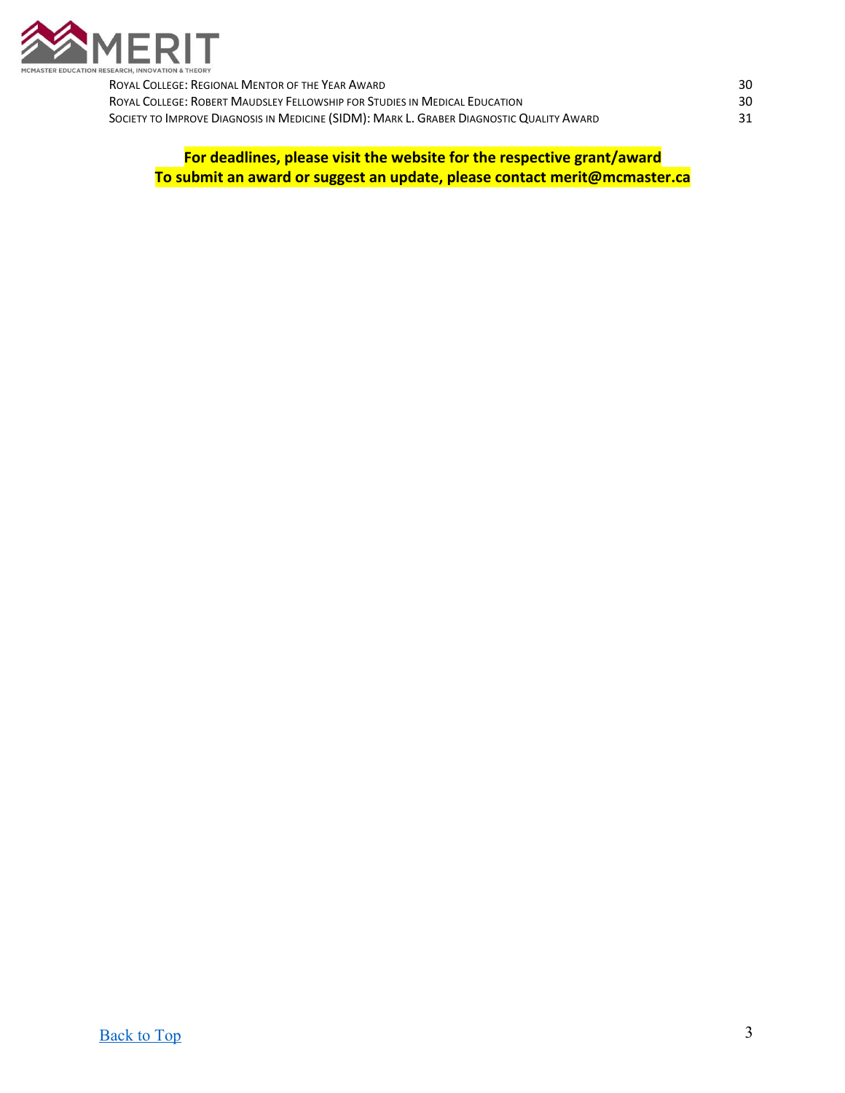

| ROYAL COLLEGE: REGIONAL MENTOR OF THE YEAR AWARD                                         | 30 |
|------------------------------------------------------------------------------------------|----|
| ROYAL COLLEGE: ROBERT MAUDSLEY FELLOWSHIP FOR STUDIES IN MEDICAL EDUCATION               | 30 |
| SOCIETY TO IMPROVE DIAGNOSIS IN MEDICINE (SIDM): MARK L. GRABER DIAGNOSTIC QUALITY AWARD | 31 |

**For deadlines, please visit the website for the respective grant/award To submit an award or suggest an update, please contact merit@mcmaster.ca**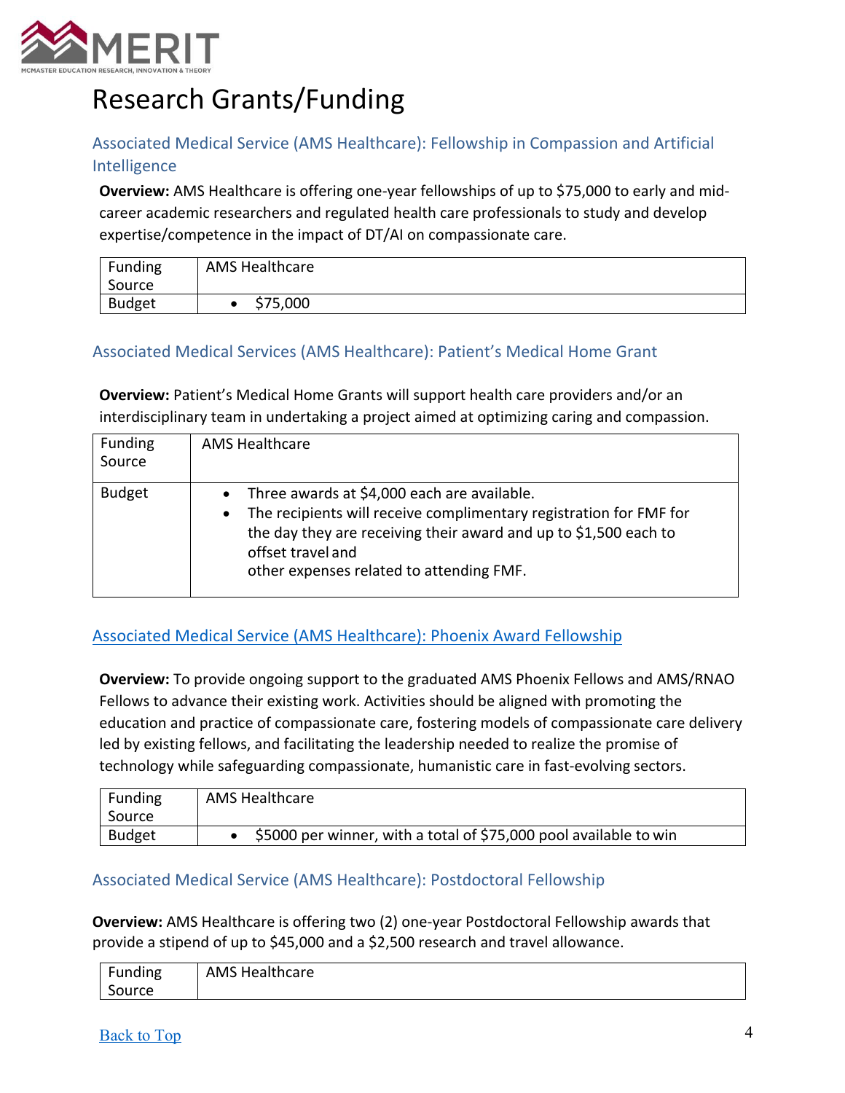

# Research Grants/Funding

# Associated Medical Service (AMS Healthcare): Fellowship in Compassion and Artificial Intelligence

**Overview:** AMS Healthcare is offering one-year fellowships of up to \$75,000 to early and midcareer academic researchers and regulated health care professionals to study and develop expertise/competence in the impact of DT/AI on compassionate care.

| <b>Funding</b> | <b>AMS Healthcare</b> |
|----------------|-----------------------|
| Source         |                       |
| <b>Budget</b>  | \$75,000              |

## Associated Medical Services (AMS Healthcare): Patient's Medical Home Grant

**Overview:** Patient's Medical Home Grants will support health care providers and/or an interdisciplinary team in undertaking a project aimed at optimizing caring and compassion.

| Funding<br>Source | <b>AMS Healthcare</b>                                                                                                                                                                                                                                  |
|-------------------|--------------------------------------------------------------------------------------------------------------------------------------------------------------------------------------------------------------------------------------------------------|
| <b>Budget</b>     | Three awards at \$4,000 each are available.<br>The recipients will receive complimentary registration for FMF for<br>the day they are receiving their award and up to \$1,500 each to<br>offset travel and<br>other expenses related to attending FMF. |

## Associated Medical Service (AMS Healthcare): Phoenix Award Fellowship

**Overview:** To provide ongoing support to the graduated AMS Phoenix Fellows and AMS/RNAO Fellows to advance their existing work. Activities should be aligned with promoting the education and practice of compassionate care, fostering models of compassionate care delivery led by existing fellows, and facilitating the leadership needed to realize the promise of technology while safeguarding compassionate, humanistic care in fast-evolving sectors.

| Funding<br>Source | <b>AMS Healthcare</b>                                             |
|-------------------|-------------------------------------------------------------------|
| <b>Budget</b>     | \$5000 per winner, with a total of \$75,000 pool available to win |

## Associated Medical Service (AMS Healthcare): Postdoctoral Fellowship

**Overview:** AMS Healthcare is offering two (2) one-year Postdoctoral Fellowship awards that provide a stipend of up to \$45,000 and a \$2,500 research and travel allowance.

| Funding          | Healthcare<br>AMS |
|------------------|-------------------|
| $\sim$<br>Source |                   |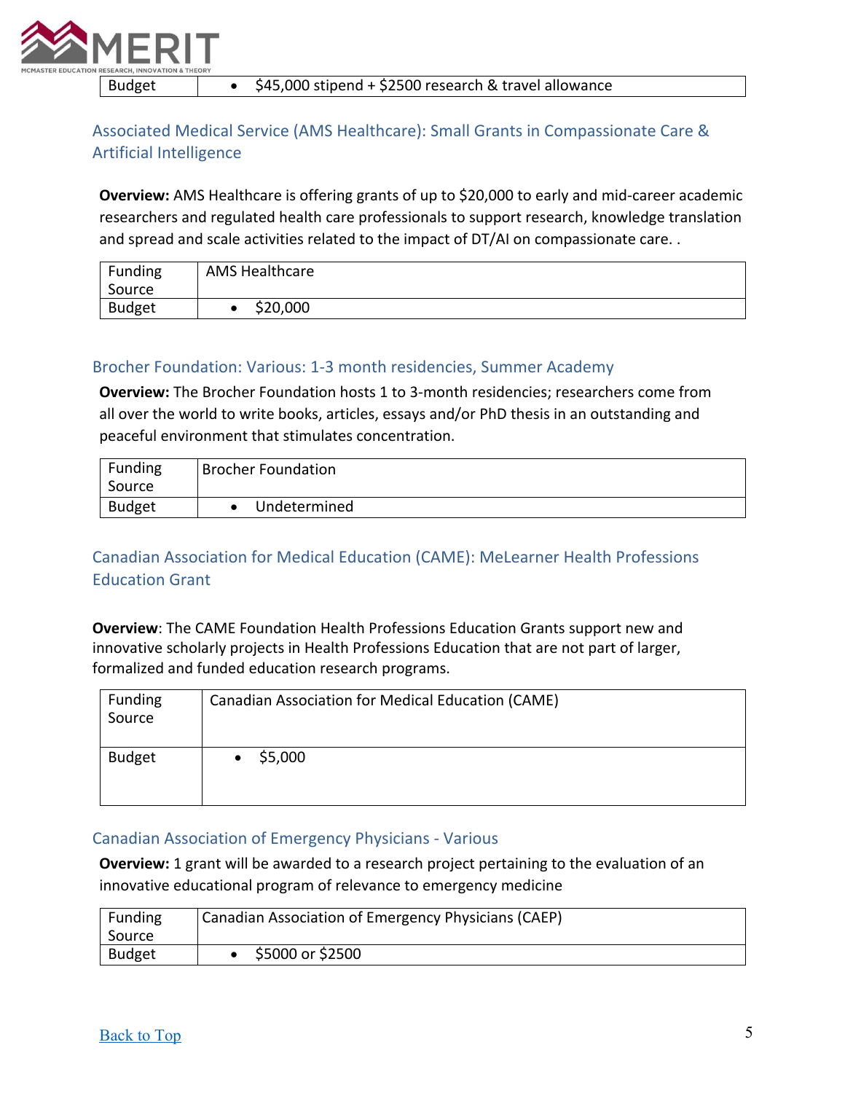

# Associated Medical Service (AMS Healthcare): Small Grants in Compassionate Care & Artificial Intelligence

**Overview:** AMS Healthcare is offering grants of up to \$20,000 to early and mid-career academic researchers and regulated health care professionals to support research, knowledge translation and spread and scale activities related to the impact of DT/AI on compassionate care. .

| Funding<br>Source | <b>AMS Healthcare</b> |
|-------------------|-----------------------|
| <b>Budget</b>     | \$20,000              |

#### Brocher Foundation: Various: 1-3 month residencies, Summer Academy

**Overview:** The Brocher Foundation hosts 1 to 3-month residencies; researchers come from all over the world to write books, articles, essays and/or PhD thesis in an outstanding and peaceful environment that stimulates concentration.

| Funding<br>Source | <b>Brocher Foundation</b> |
|-------------------|---------------------------|
| <b>Budget</b>     | Undetermined              |

# Canadian Association for Medical Education (CAME): MeLearner Health Professions Education Grant

**Overview**: The CAME Foundation Health Professions Education Grants support new and innovative scholarly projects in Health Professions Education that are not part of larger, formalized and funded education research programs.

| Funding<br>Source | <b>Canadian Association for Medical Education (CAME)</b> |
|-------------------|----------------------------------------------------------|
| <b>Budget</b>     | \$5,000                                                  |

#### Canadian Association of Emergency Physicians - Various

**Overview:** 1 grant will be awarded to a research project pertaining to the evaluation of an innovative educational program of relevance to emergency medicine

| Funding<br>Source | Canadian Association of Emergency Physicians (CAEP) |
|-------------------|-----------------------------------------------------|
| <b>Budget</b>     | \$5000 or \$2500                                    |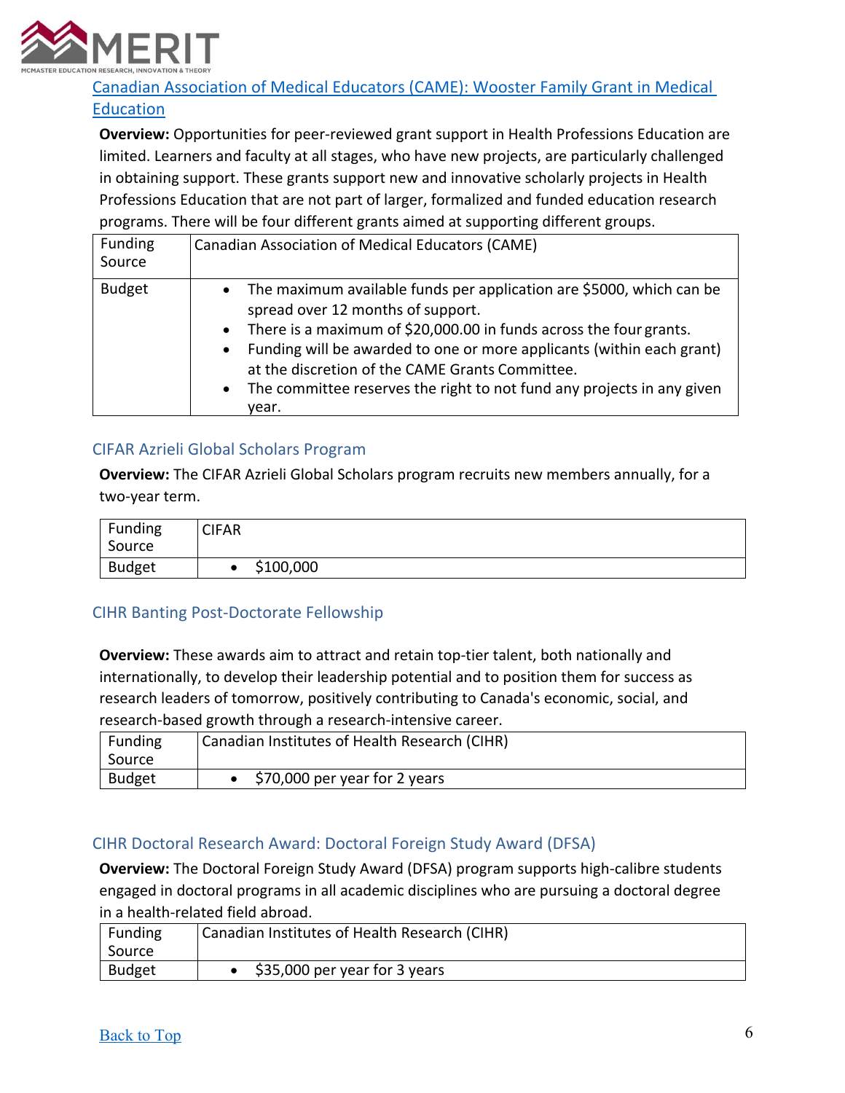

## Canadian Association of Medical Educators (CAME): Wooster Family Grant in Medical **Education**

**Overview:** Opportunities for peer-reviewed grant support in Health Professions Education are limited. Learners and faculty at all stages, who have new projects, are particularly challenged in obtaining support. These grants support new and innovative scholarly projects in Health Professions Education that are not part of larger, formalized and funded education research programs. There will be four different grants aimed at supporting different groups.

| Funding<br>Source | <b>Canadian Association of Medical Educators (CAME)</b>                                                                                                                                                                                                                                                                                                                                                |
|-------------------|--------------------------------------------------------------------------------------------------------------------------------------------------------------------------------------------------------------------------------------------------------------------------------------------------------------------------------------------------------------------------------------------------------|
| <b>Budget</b>     | • The maximum available funds per application are \$5000, which can be<br>spread over 12 months of support.<br>• There is a maximum of \$20,000.00 in funds across the four grants.<br>• Funding will be awarded to one or more applicants (within each grant)<br>at the discretion of the CAME Grants Committee.<br>• The committee reserves the right to not fund any projects in any given<br>year. |

# CIFAR Azrieli Global Scholars Program

**Overview:** The CIFAR Azrieli Global Scholars program recruits new members annually, for a two-year term.

| Funding<br>Source | <b>CIFAR</b> |
|-------------------|--------------|
| <b>Budget</b>     | \$100,000    |

## CIHR Banting Post-Doctorate Fellowship

**Overview:** These awards aim to attract and retain top-tier talent, both nationally and internationally, to develop their leadership potential and to position them for success as research leaders of tomorrow, positively contributing to Canada's economic, social, and research-based growth through a research-intensive career.

| Funding<br>Source | Canadian Institutes of Health Research (CIHR) |
|-------------------|-----------------------------------------------|
| <b>Budget</b>     | \$70,000 per year for 2 years                 |

## CIHR Doctoral Research Award: Doctoral Foreign Study Award (DFSA)

**Overview:** The Doctoral Foreign Study Award (DFSA) program supports high-calibre students engaged in doctoral programs in all academic disciplines who are pursuing a doctoral degree in a health-related field abroad.

| Funding<br>Source | Canadian Institutes of Health Research (CIHR) |
|-------------------|-----------------------------------------------|
| <b>Budget</b>     | \$35,000 per year for 3 years                 |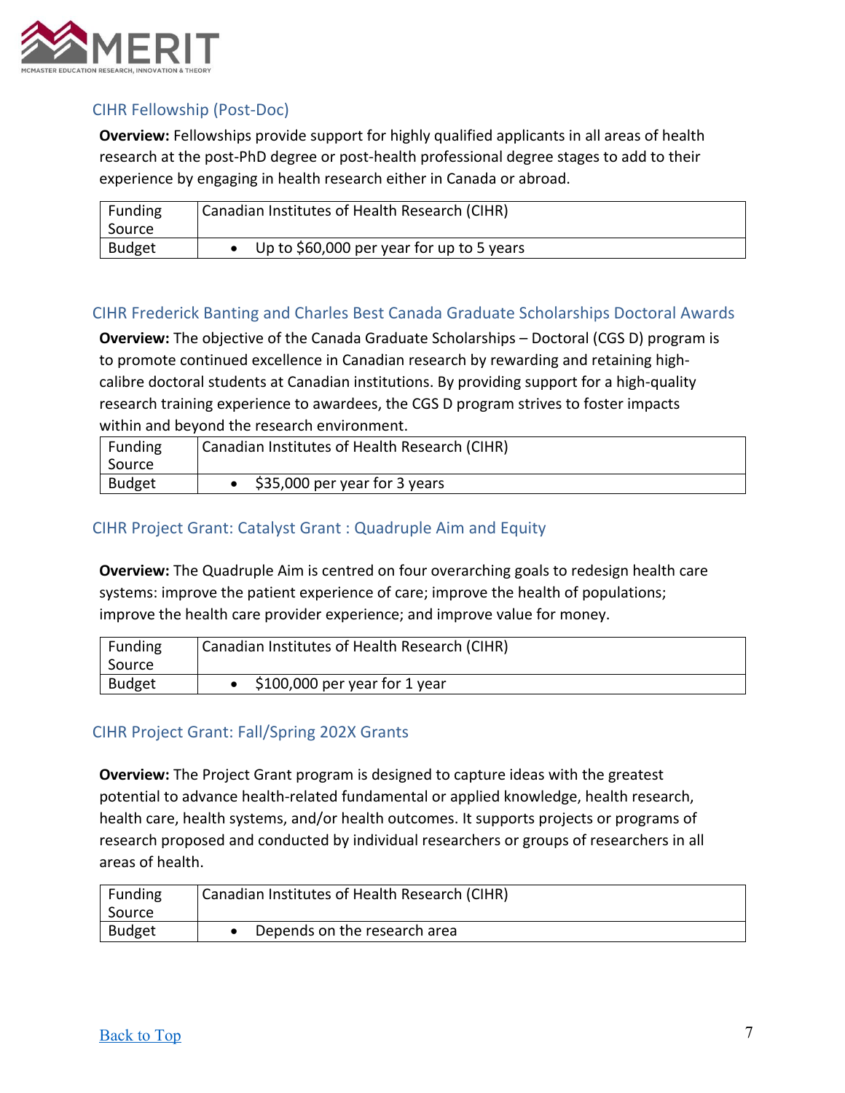

## CIHR Fellowship (Post-Doc)

**Overview:** Fellowships provide support for highly qualified applicants in all areas of health research at the post-PhD degree or post-health professional degree stages to add to their experience by engaging in health research either in Canada or abroad.

| <b>Funding</b><br>Source | Canadian Institutes of Health Research (CIHR) |
|--------------------------|-----------------------------------------------|
| <b>Budget</b>            | Up to \$60,000 per year for up to 5 years     |

#### CIHR Frederick Banting and Charles Best Canada Graduate Scholarships Doctoral Awards

**Overview:** The objective of the Canada Graduate Scholarships – Doctoral (CGS D) program is to promote continued excellence in Canadian research by rewarding and retaining highcalibre doctoral students at Canadian institutions. By providing support for a high-quality research training experience to awardees, the CGS D program strives to foster impacts within and beyond the research environment.

| Funding<br>Source | Canadian Institutes of Health Research (CIHR) |
|-------------------|-----------------------------------------------|
| <b>Budget</b>     | \$35,000 per year for 3 years                 |

#### CIHR Project Grant: Catalyst Grant : Quadruple Aim and Equity

**Overview:** The Quadruple Aim is centred on four overarching goals to redesign health care systems: improve the patient experience of care; improve the health of populations; improve the health care provider experience; and improve value for money.

| Funding<br>Source | Canadian Institutes of Health Research (CIHR) |
|-------------------|-----------------------------------------------|
| <b>Budget</b>     | \$100,000 per year for 1 year                 |

#### CIHR Project Grant: Fall/Spring 202X Grants

**Overview:** The Project Grant program is designed to capture ideas with the greatest potential to advance health-related fundamental or applied knowledge, health research, health care, health systems, and/or health outcomes. It supports projects or programs of research proposed and conducted by individual researchers or groups of researchers in all areas of health.

| Funding<br>Source | Canadian Institutes of Health Research (CIHR) |
|-------------------|-----------------------------------------------|
| <b>Budget</b>     | Depends on the research area                  |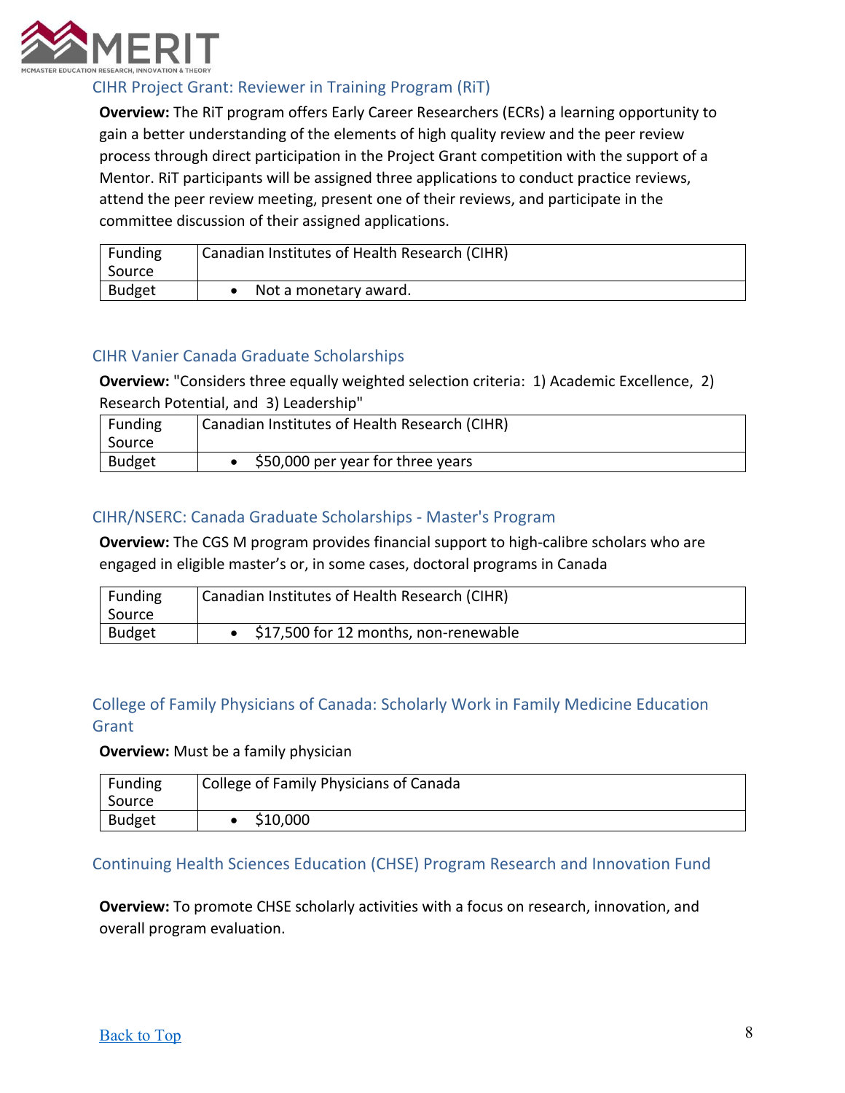

#### CIHR Project Grant: Reviewer in Training Program (RiT)

**Overview:** The RiT program offers Early Career Researchers (ECRs) a learning opportunity to gain a better understanding of the elements of high quality review and the peer review process through direct participation in the Project Grant competition with the support of a Mentor. RiT participants will be assigned three applications to conduct practice reviews, attend the peer review meeting, present one of their reviews, and participate in the committee discussion of their assigned applications.

| Funding<br>Source | Canadian Institutes of Health Research (CIHR) |
|-------------------|-----------------------------------------------|
| <b>Budget</b>     | Not a monetary award.                         |

#### CIHR Vanier Canada Graduate Scholarships

**Overview:** "Considers three equally weighted selection criteria: 1) Academic Excellence, 2) Research Potential, and 3) Leadership"

| Funding<br>Source | Canadian Institutes of Health Research (CIHR) |
|-------------------|-----------------------------------------------|
| <b>Budget</b>     | \$50,000 per year for three years             |

#### CIHR/NSERC: Canada Graduate Scholarships - Master's Program

**Overview:** The CGS M program provides financial support to high-calibre scholars who are engaged in eligible master's or, in some cases, doctoral programs in Canada

| Funding<br>Source | Canadian Institutes of Health Research (CIHR) |
|-------------------|-----------------------------------------------|
| <b>Budget</b>     | • \$17,500 for 12 months, non-renewable       |

## College of Family Physicians of Canada: Scholarly Work in Family Medicine Education Grant

#### **Overview:** Must be a family physician

| <b>Funding</b><br>Source | College of Family Physicians of Canada |
|--------------------------|----------------------------------------|
| <b>Budget</b>            | \$10,000                               |

#### Continuing Health Sciences Education (CHSE) Program Research and Innovation Fund

**Overview:** To promote CHSE scholarly activities with a focus on research, innovation, and overall program evaluation.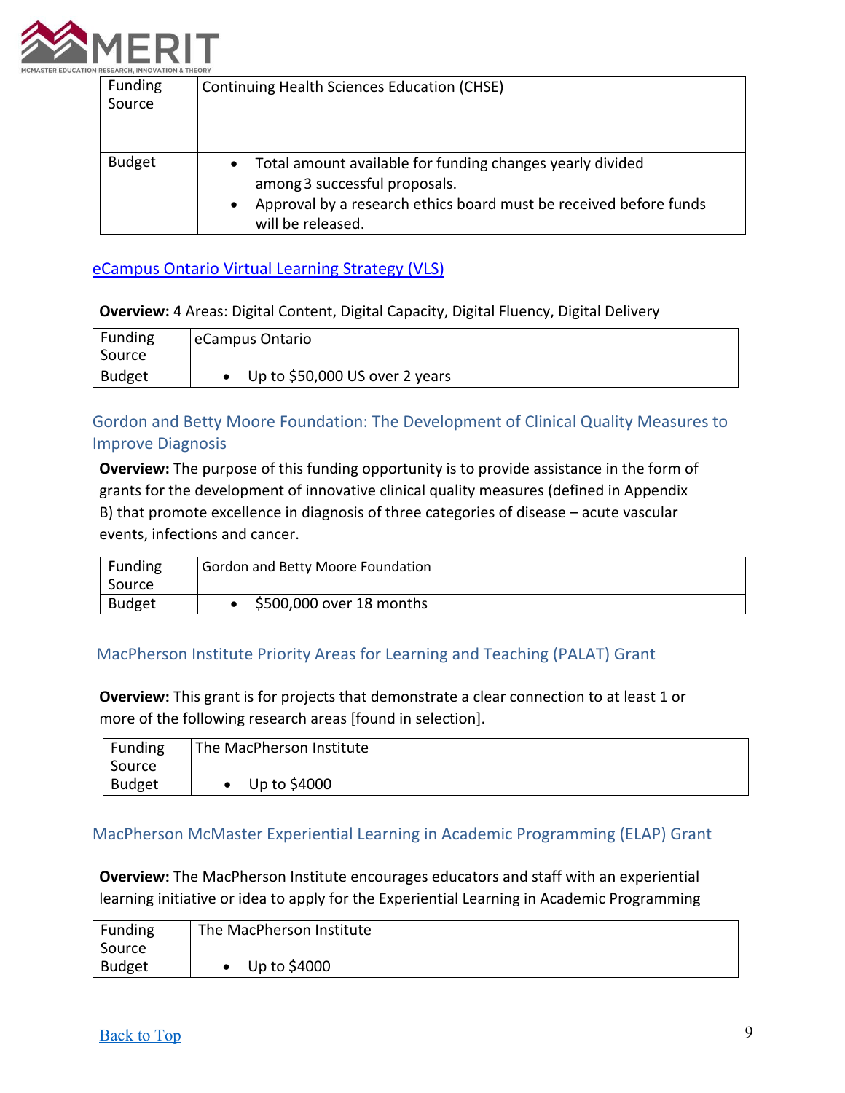

| Funding<br>Source | <b>Continuing Health Sciences Education (CHSE)</b>                                                                                                                                                             |
|-------------------|----------------------------------------------------------------------------------------------------------------------------------------------------------------------------------------------------------------|
| <b>Budget</b>     | Total amount available for funding changes yearly divided<br>$\bullet$<br>among 3 successful proposals.<br>Approval by a research ethics board must be received before funds<br>$\bullet$<br>will be released. |

#### eCampus Ontario Virtual Learning Strategy (VLS)

#### **Overview:** 4 Areas: Digital Content, Digital Capacity, Digital Fluency, Digital Delivery

| Source | Funding       | eCampus Ontario                |
|--------|---------------|--------------------------------|
|        |               |                                |
|        | <b>Budget</b> | Up to \$50,000 US over 2 years |

# Gordon and Betty Moore Foundation: The Development of Clinical Quality Measures to Improve Diagnosis

**Overview:** The purpose of this funding opportunity is to provide assistance in the form of grants for the development of innovative clinical quality measures (defined in Appendix B) that promote excellence in diagnosis of three categories of disease – acute vascular events, infections and cancer.

| Funding<br>Source | Gordon and Betty Moore Foundation |
|-------------------|-----------------------------------|
| <b>Budget</b>     | \$500,000 over 18 months          |

#### MacPherson Institute Priority Areas for Learning and Teaching (PALAT) Grant

**Overview:** This grant is for projects that demonstrate a clear connection to at least 1 or more of the following research areas [found in selection].

| Funding<br>Source | The MacPherson Institute |
|-------------------|--------------------------|
| <b>Budget</b>     | Up to \$4000             |

#### MacPherson McMaster Experiential Learning in Academic Programming (ELAP) Grant

**Overview:** The MacPherson Institute encourages educators and staff with an experiential learning initiative or idea to apply for the Experiential Learning in Academic Programming

| Funding<br>Source | The MacPherson Institute |
|-------------------|--------------------------|
| <b>Budget</b>     | Up to \$4000             |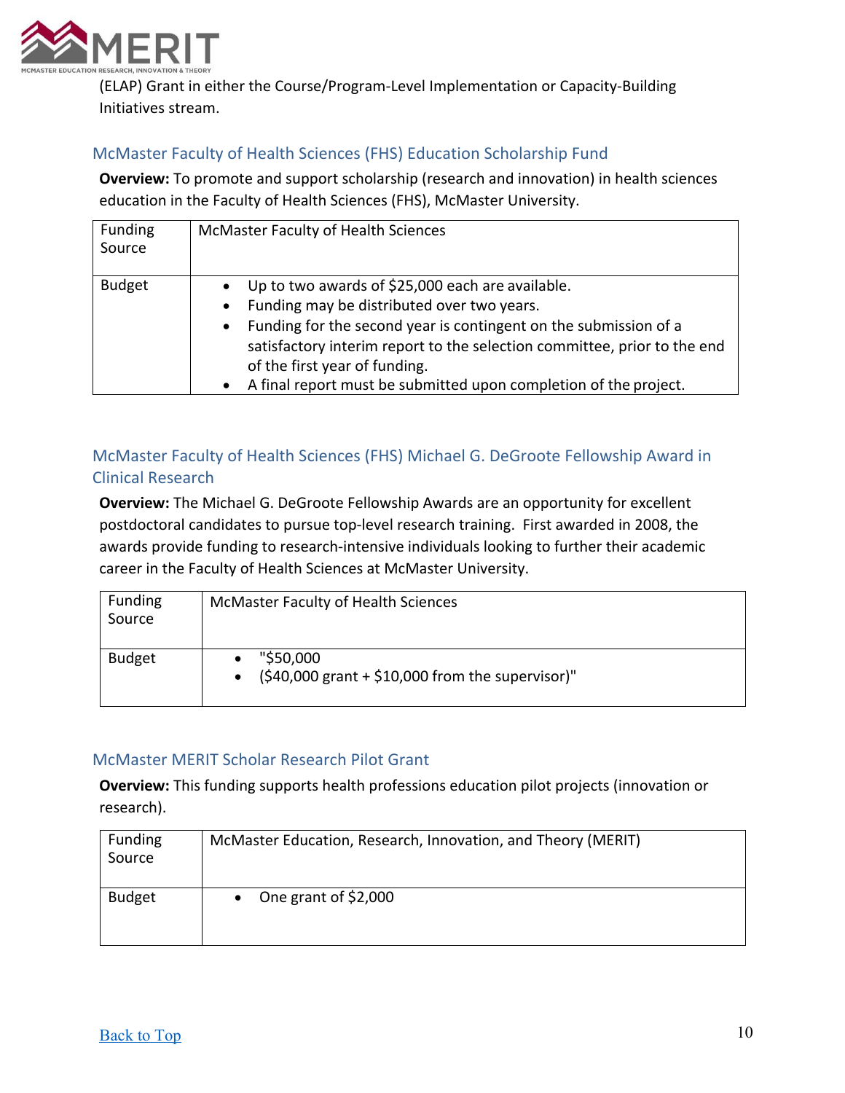

(ELAP) Grant in either the Course/Program-Level Implementation or Capacity-Building Initiatives stream.

### McMaster Faculty of Health Sciences (FHS) Education Scholarship Fund

**Overview:** To promote and support scholarship (research and innovation) in health sciences education in the Faculty of Health Sciences (FHS), McMaster University.

| <b>Funding</b><br>Source | McMaster Faculty of Health Sciences                                                                                                                                                                                                                                                                                                                                                          |
|--------------------------|----------------------------------------------------------------------------------------------------------------------------------------------------------------------------------------------------------------------------------------------------------------------------------------------------------------------------------------------------------------------------------------------|
| <b>Budget</b>            | • Up to two awards of \$25,000 each are available.<br>Funding may be distributed over two years.<br>$\bullet$<br>Funding for the second year is contingent on the submission of a<br>$\bullet$<br>satisfactory interim report to the selection committee, prior to the end<br>of the first year of funding.<br>A final report must be submitted upon completion of the project.<br>$\bullet$ |

# McMaster Faculty of Health Sciences (FHS) Michael G. DeGroote Fellowship Award in Clinical Research

**Overview:** The Michael G. DeGroote Fellowship Awards are an opportunity for excellent postdoctoral candidates to pursue top-level research training. First awarded in 2008, the awards provide funding to research-intensive individuals looking to further their academic career in the Faculty of Health Sciences at McMaster University.

| <b>Funding</b><br>Source | McMaster Faculty of Health Sciences                            |
|--------------------------|----------------------------------------------------------------|
| <b>Budget</b>            | "\$50,000<br>$(540,000$ grant + \$10,000 from the supervisor)" |

#### McMaster MERIT Scholar Research Pilot Grant

**Overview:** This funding supports health professions education pilot projects (innovation or research).

| <b>Funding</b><br>Source | McMaster Education, Research, Innovation, and Theory (MERIT) |
|--------------------------|--------------------------------------------------------------|
| <b>Budget</b>            | One grant of $$2,000$                                        |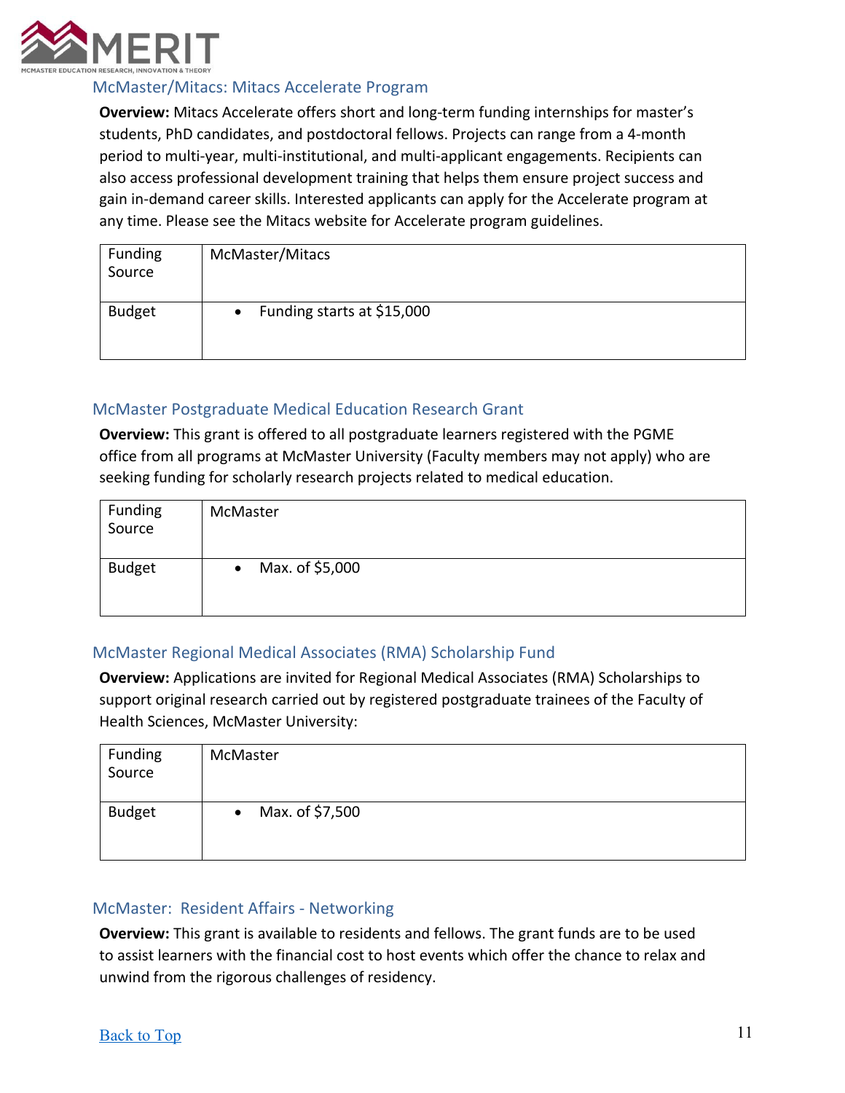

#### McMaster/Mitacs: Mitacs Accelerate Program

**Overview:** Mitacs Accelerate offers short and long-term funding internships for master's students, PhD candidates, and postdoctoral fellows. Projects can range from a 4-month period to multi-year, multi-institutional, and multi-applicant engagements. Recipients can also access professional development training that helps them ensure project success and gain in-demand career skills. Interested applicants can apply for the Accelerate program at any time. Please see the Mitacs website for Accelerate program guidelines.

| Funding<br>Source | McMaster/Mitacs                         |
|-------------------|-----------------------------------------|
| <b>Budget</b>     | Funding starts at \$15,000<br>$\bullet$ |

#### McMaster Postgraduate Medical Education Research Grant

**Overview:** This grant is offered to all postgraduate learners registered with the PGME office from all programs at McMaster University (Faculty members may not apply) who are seeking funding for scholarly research projects related to medical education.

| Funding<br>Source | McMaster                     |
|-------------------|------------------------------|
| <b>Budget</b>     | Max. of \$5,000<br>$\bullet$ |

#### McMaster Regional Medical Associates (RMA) Scholarship Fund

**Overview:** Applications are invited for Regional Medical Associates (RMA) Scholarships to support original research carried out by registered postgraduate trainees of the Faculty of Health Sciences, McMaster University:

| Funding<br>Source | McMaster                     |
|-------------------|------------------------------|
| <b>Budget</b>     | Max. of \$7,500<br>$\bullet$ |

#### McMaster: Resident Affairs - Networking

**Overview:** This grant is available to residents and fellows. The grant funds are to be used to assist learners with the financial cost to host events which offer the chance to relax and unwind from the rigorous challenges of residency.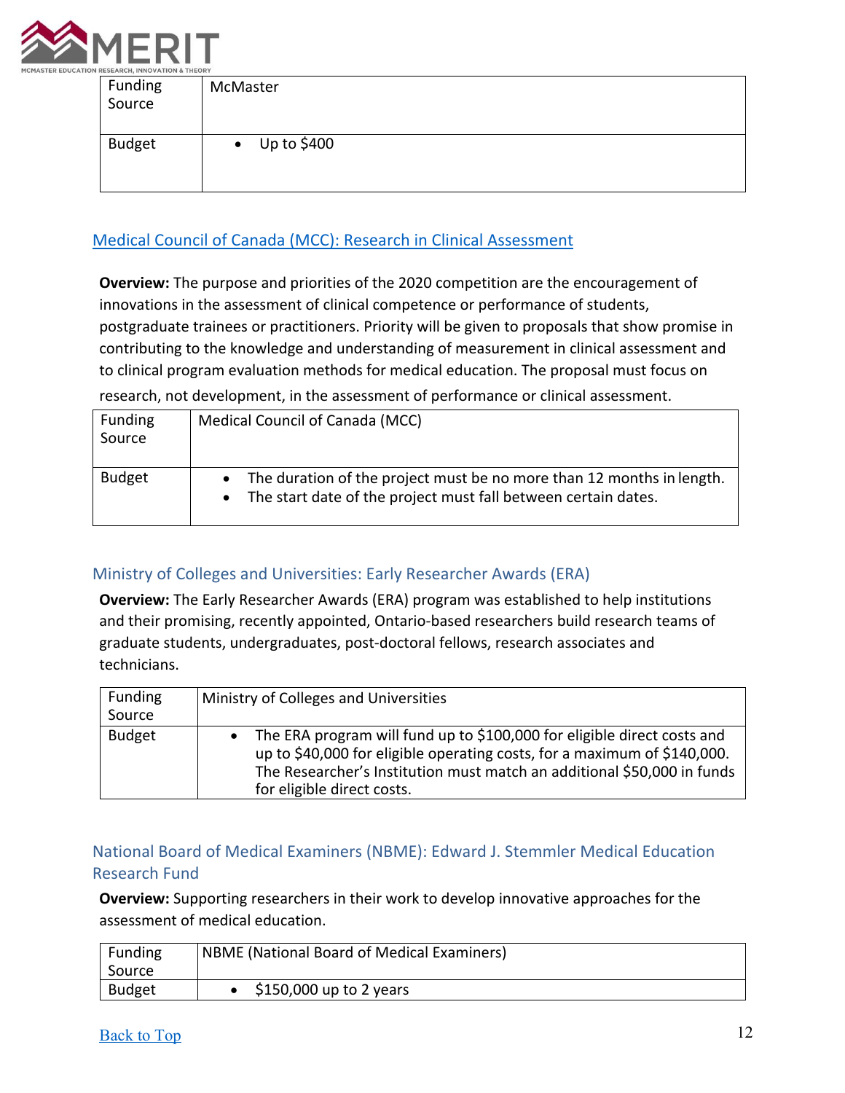

| Funding<br>Source | McMaster                 |
|-------------------|--------------------------|
| <b>Budget</b>     | Up to \$400<br>$\bullet$ |

## Medical Council of Canada (MCC): Research in Clinical Assessment

**Overview:** The purpose and priorities of the 2020 competition are the encouragement of innovations in the assessment of clinical competence or performance of students, postgraduate trainees or practitioners. Priority will be given to proposals that show promise in contributing to the knowledge and understanding of measurement in clinical assessment and to clinical program evaluation methods for medical education. The proposal must focus on

research, not development, in the assessment of performance or clinical assessment.

| <b>Funding</b><br>Source | Medical Council of Canada (MCC)                                                                                                         |
|--------------------------|-----------------------------------------------------------------------------------------------------------------------------------------|
| <b>Budget</b>            | The duration of the project must be no more than 12 months in length.<br>The start date of the project must fall between certain dates. |

## Ministry of Colleges and Universities: Early Researcher Awards (ERA)

**Overview:** The Early Researcher Awards (ERA) program was established to help institutions and their promising, recently appointed, Ontario-based researchers build research teams of graduate students, undergraduates, post-doctoral fellows, research associates and technicians.

| Funding<br>Source | Ministry of Colleges and Universities                                                                                                                                                                                                                        |
|-------------------|--------------------------------------------------------------------------------------------------------------------------------------------------------------------------------------------------------------------------------------------------------------|
| <b>Budget</b>     | The ERA program will fund up to \$100,000 for eligible direct costs and<br>up to \$40,000 for eligible operating costs, for a maximum of \$140,000.<br>The Researcher's Institution must match an additional \$50,000 in funds<br>for eligible direct costs. |

# National Board of Medical Examiners (NBME): Edward J. Stemmler Medical Education Research Fund

**Overview:** Supporting researchers in their work to develop innovative approaches for the assessment of medical education.

| <b>Funding</b><br>Source | NBME (National Board of Medical Examiners) |
|--------------------------|--------------------------------------------|
| <b>Budget</b>            | \$150,000 up to 2 years                    |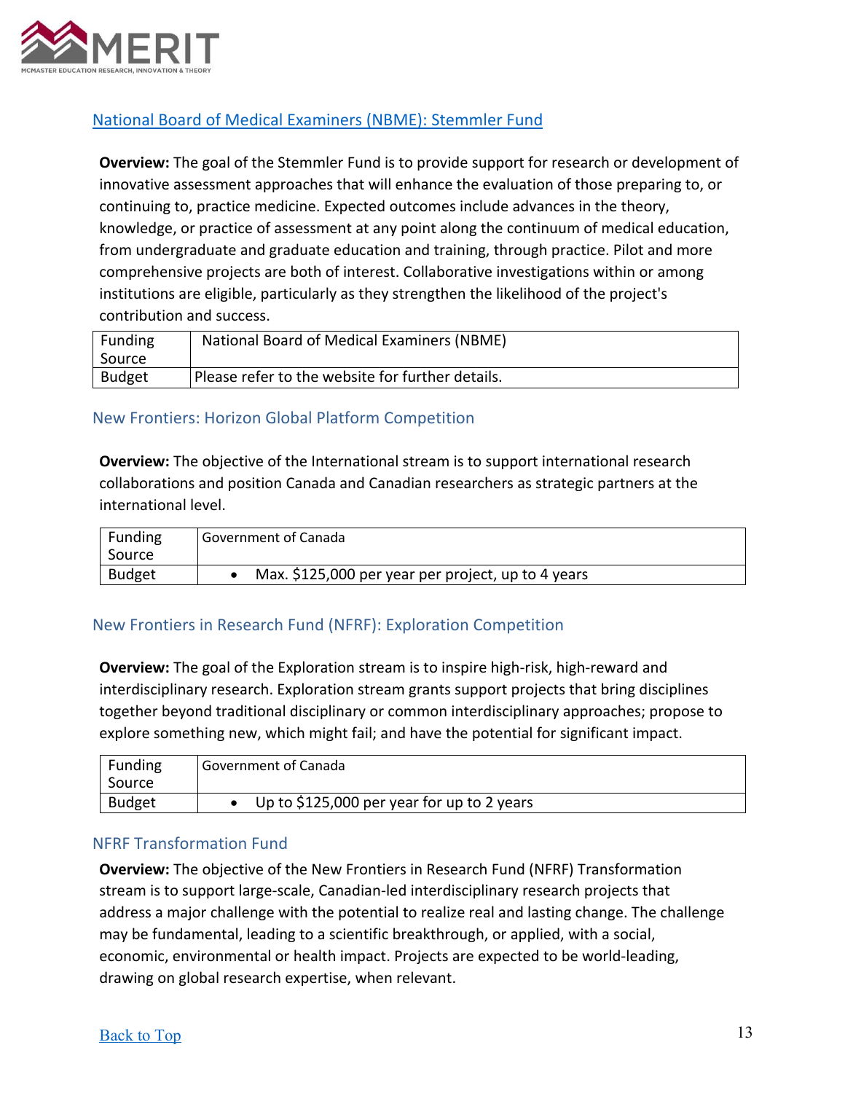

## National Board of Medical Examiners (NBME): Stemmler Fund

**Overview:** The goal of the Stemmler Fund is to provide support for research or development of innovative assessment approaches that will enhance the evaluation of those preparing to, or continuing to, practice medicine. Expected outcomes include advances in the theory, knowledge, or practice of assessment at any point along the continuum of medical education, from undergraduate and graduate education and training, through practice. Pilot and more comprehensive projects are both of interest. Collaborative investigations within or among institutions are eligible, particularly as they strengthen the likelihood of the project's contribution and success.

| Funding<br>Source | National Board of Medical Examiners (NBME)       |
|-------------------|--------------------------------------------------|
| Budget            | Please refer to the website for further details. |

#### New Frontiers: Horizon Global Platform Competition

**Overview:** The objective of the International stream is to support international research collaborations and position Canada and Canadian researchers as strategic partners at the international level.

| Funding<br>Source | <b>Government of Canada</b>                        |
|-------------------|----------------------------------------------------|
| <b>Budget</b>     | Max. \$125,000 per year per project, up to 4 years |

#### New Frontiers in Research Fund (NFRF): Exploration Competition

**Overview:** The goal of the Exploration stream is to inspire high-risk, high-reward and interdisciplinary research. Exploration stream grants support projects that bring disciplines together beyond traditional disciplinary or common interdisciplinary approaches; propose to explore something new, which might fail; and have the potential for significant impact.

| Funding<br>Source | <b>Government of Canada</b>                 |
|-------------------|---------------------------------------------|
| <b>Budget</b>     | Up to $$125,000$ per year for up to 2 years |

#### NFRF Transformation Fund

**Overview:** The objective of the New Frontiers in Research Fund (NFRF) Transformation stream is to support large-scale, Canadian-led interdisciplinary research projects that address a major challenge with the potential to realize real and lasting change. The challenge may be fundamental, leading to a scientific breakthrough, or applied, with a social, economic, environmental or health impact. Projects are expected to be world-leading, drawing on global research expertise, when relevant.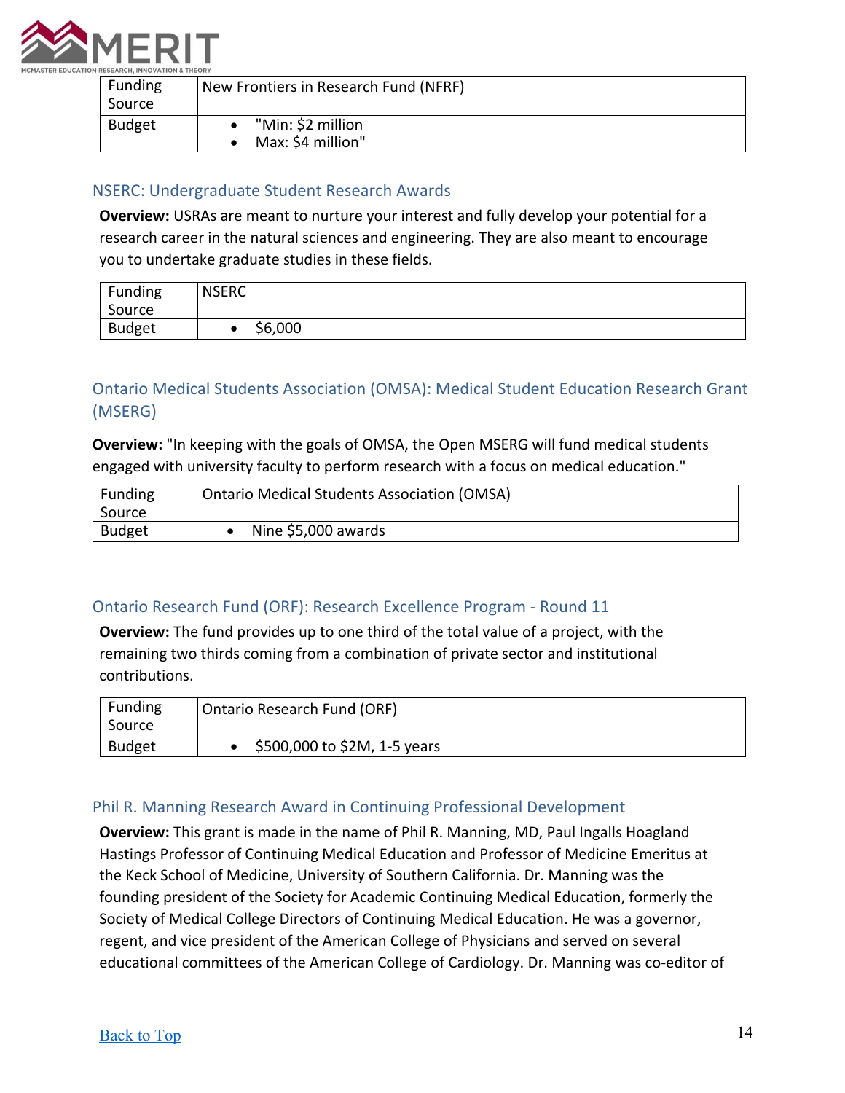

| <b>Funding</b> | New Frontiers in Research Fund (NFRF) |
|----------------|---------------------------------------|
| Source         |                                       |
| <b>Budget</b>  | "Min: \$2 million                     |
|                | Max: \$4 million"                     |

#### NSERC: Undergraduate Student Research Awards

**Overview:** USRAs are meant to nurture your interest and fully develop your potential for a research career in the natural sciences and engineering. They are also meant to encourage you to undertake graduate studies in these fields.

| Funding<br>Source | <b>NSERC</b> |
|-------------------|--------------|
| <b>Budget</b>     | \$6,000      |

# Ontario Medical Students Association (OMSA): Medical Student Education Research Grant (MSERG)

**Overview:** "In keeping with the goals of OMSA, the Open MSERG will fund medical students engaged with university faculty to perform research with a focus on medical education."

| <b>Funding</b><br>Source | <b>Ontario Medical Students Association (OMSA)</b> |
|--------------------------|----------------------------------------------------|
| <b>Budget</b>            | Nine \$5,000 awards                                |

## Ontario Research Fund (ORF): Research Excellence Program - Round 11

**Overview:** The fund provides up to one third of the total value of a project, with the remaining two thirds coming from a combination of private sector and institutional contributions.

| Funding<br>Source | <b>Ontario Research Fund (ORF)</b> |
|-------------------|------------------------------------|
| <b>Budget</b>     | \$500,000 to \$2M, 1-5 years       |

## Phil R. Manning Research Award in Continuing Professional Development

**Overview:** This grant is made in the name of Phil R. Manning, MD, Paul Ingalls Hoagland Hastings Professor of Continuing Medical Education and Professor of Medicine Emeritus at the Keck School of Medicine, University of Southern California. Dr. Manning was the founding president of the Society for Academic Continuing Medical Education, formerly the Society of Medical College Directors of Continuing Medical Education. He was a governor, regent, and vice president of the American College of Physicians and served on several educational committees of the American College of Cardiology. Dr. Manning was co-editor of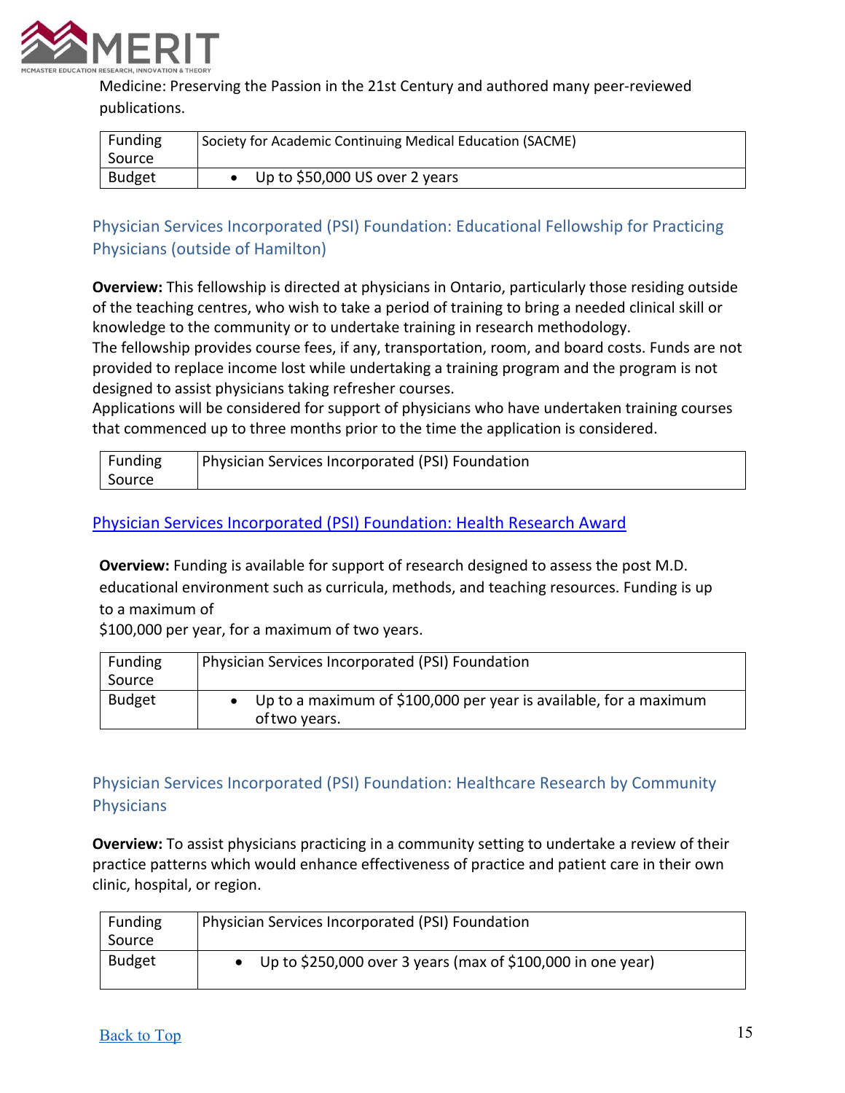

Medicine: Preserving the Passion in the 21st Century and authored many peer-reviewed publications.

| Funding<br>Source | Society for Academic Continuing Medical Education (SACME) |
|-------------------|-----------------------------------------------------------|
| <b>Budget</b>     | Up to \$50,000 US over 2 years                            |

# Physician Services Incorporated (PSI) Foundation: Educational Fellowship for Practicing Physicians (outside of Hamilton)

**Overview:** This fellowship is directed at physicians in Ontario, particularly those residing outside of the teaching centres, who wish to take a period of training to bring a needed clinical skill or knowledge to the community or to undertake training in research methodology.

The fellowship provides course fees, if any, transportation, room, and board costs. Funds are not provided to replace income lost while undertaking a training program and the program is not designed to assist physicians taking refresher courses.

Applications will be considered for support of physicians who have undertaken training courses that commenced up to three months prior to the time the application is considered.

| <b>Funding</b> | Physician Services Incorporated (PSI) Foundation |
|----------------|--------------------------------------------------|
| Source         |                                                  |

#### Physician Services Incorporated (PSI) Foundation: Health Research Award

**Overview:** Funding is available for support of research designed to assess the post M.D. educational environment such as curricula, methods, and teaching resources. Funding is up to a maximum of

\$100,000 per year, for a maximum of two years.

| Funding       | <b>Physician Services Incorporated (PSI) Foundation</b>                              |
|---------------|--------------------------------------------------------------------------------------|
| Source        |                                                                                      |
| <b>Budget</b> | • Up to a maximum of \$100,000 per year is available, for a maximum<br>of two years. |

# Physician Services Incorporated (PSI) Foundation: Healthcare Research by Community **Physicians**

**Overview:** To assist physicians practicing in a community setting to undertake a review of their practice patterns which would enhance effectiveness of practice and patient care in their own clinic, hospital, or region.

| Funding       | Physician Services Incorporated (PSI) Foundation            |
|---------------|-------------------------------------------------------------|
| Source        |                                                             |
| <b>Budget</b> | Up to \$250,000 over 3 years (max of \$100,000 in one year) |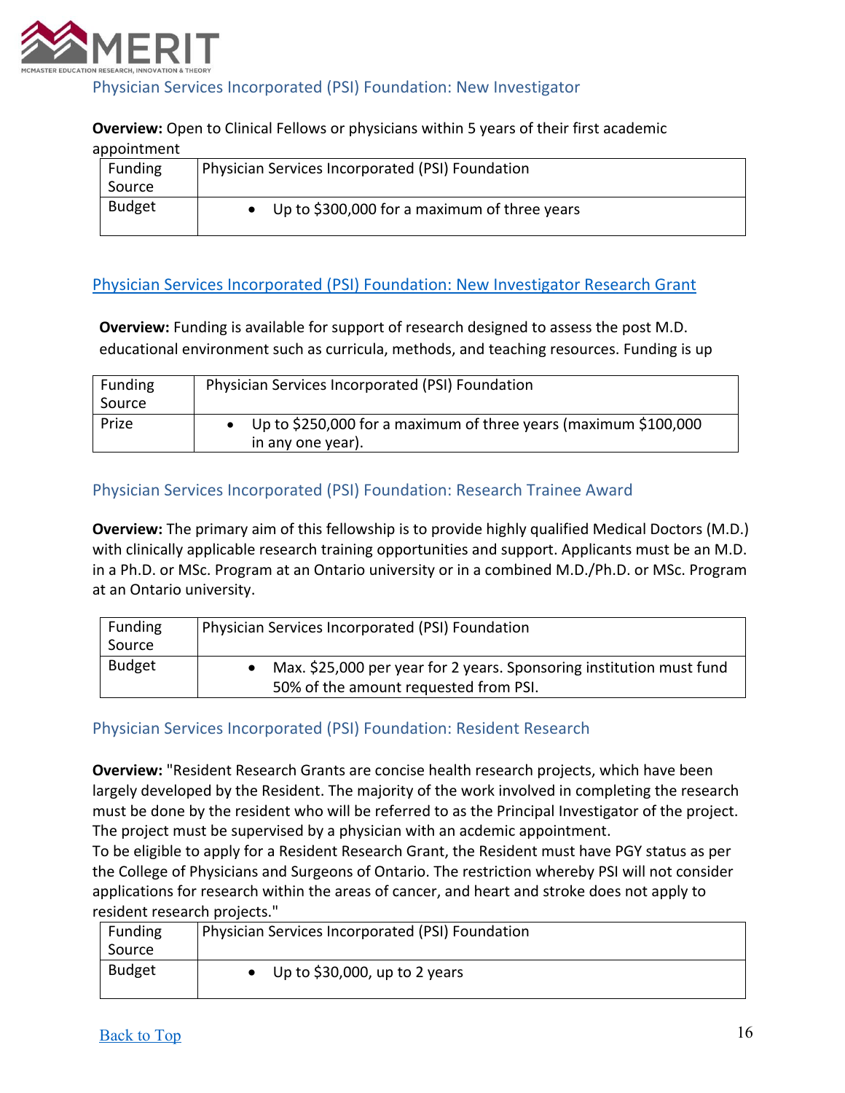

Physician Services Incorporated (PSI) Foundation: New Investigator

#### **Overview:** Open to Clinical Fellows or physicians within 5 years of their first academic

|  | appointment |
|--|-------------|
|--|-------------|

| ,,,,,,,,,,,,,,,,, |                                                  |
|-------------------|--------------------------------------------------|
| <b>Funding</b>    | Physician Services Incorporated (PSI) Foundation |
| Source            |                                                  |
| <b>Budget</b>     | Up to \$300,000 for a maximum of three years     |

#### Physician Services Incorporated (PSI) Foundation: New Investigator Research Grant

**Overview:** Funding is available for support of research designed to assess the post M.D. educational environment such as curricula, methods, and teaching resources. Funding is up

| <b>Funding</b><br>Source | Physician Services Incorporated (PSI) Foundation                                       |
|--------------------------|----------------------------------------------------------------------------------------|
| Prize                    | • Up to \$250,000 for a maximum of three years (maximum \$100,000<br>in any one year). |

## Physician Services Incorporated (PSI) Foundation: Research Trainee Award

**Overview:** The primary aim of this fellowship is to provide highly qualified Medical Doctors (M.D.) with clinically applicable research training opportunities and support. Applicants must be an M.D. in a Ph.D. or MSc. Program at an Ontario university or in a combined M.D./Ph.D. or MSc. Program at an Ontario university.

| Funding<br>Source | Physician Services Incorporated (PSI) Foundation                                                              |
|-------------------|---------------------------------------------------------------------------------------------------------------|
| <b>Budget</b>     | Max. \$25,000 per year for 2 years. Sponsoring institution must fund<br>50% of the amount requested from PSI. |

#### Physician Services Incorporated (PSI) Foundation: Resident Research

**Overview:** "Resident Research Grants are concise health research projects, which have been largely developed by the Resident. The majority of the work involved in completing the research must be done by the resident who will be referred to as the Principal Investigator of the project. The project must be supervised by a physician with an acdemic appointment.

To be eligible to apply for a Resident Research Grant, the Resident must have PGY status as per the College of Physicians and Surgeons of Ontario. The restriction whereby PSI will not consider applications for research within the areas of cancer, and heart and stroke does not apply to resident research projects."

| Funding       | Physician Services Incorporated (PSI) Foundation |
|---------------|--------------------------------------------------|
| Source        |                                                  |
| <b>Budget</b> | Up to \$30,000, up to 2 years                    |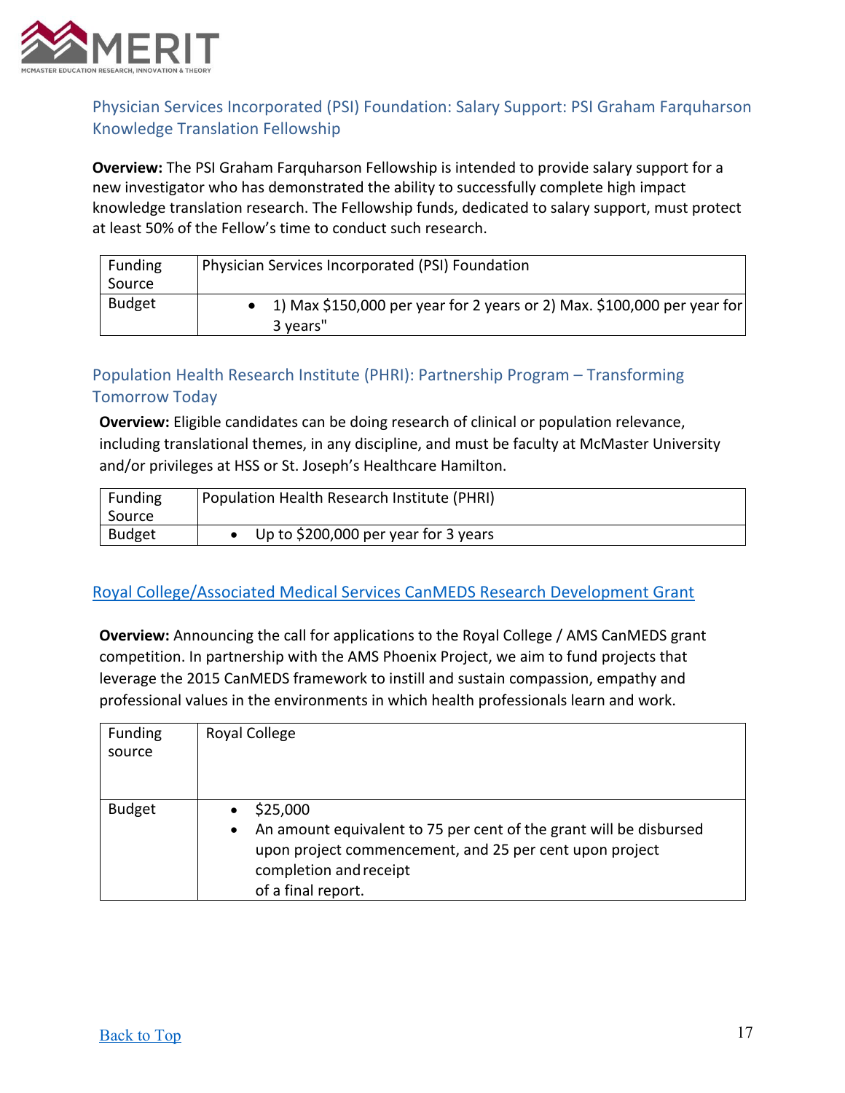

# Physician Services Incorporated (PSI) Foundation: Salary Support: PSI Graham Farquharson Knowledge Translation Fellowship

**Overview:** The PSI Graham Farquharson Fellowship is intended to provide salary support for a new investigator who has demonstrated the ability to successfully complete high impact knowledge translation research. The Fellowship funds, dedicated to salary support, must protect at least 50% of the Fellow's time to conduct such research.

| Funding<br>Source | <b>Physician Services Incorporated (PSI) Foundation</b>                               |
|-------------------|---------------------------------------------------------------------------------------|
| <b>Budget</b>     | • 1) Max \$150,000 per year for 2 years or 2) Max. \$100,000 per year for<br>3 years" |

# Population Health Research Institute (PHRI): Partnership Program – Transforming Tomorrow Today

**Overview:** Eligible candidates can be doing research of clinical or population relevance, including translational themes, in any discipline, and must be faculty at McMaster University and/or privileges at HSS or St. Joseph's Healthcare Hamilton.

| Funding<br>Source | Population Health Research Institute (PHRI) |
|-------------------|---------------------------------------------|
| <b>Budget</b>     | Up to $$200,000$ per year for 3 years       |

#### Royal College/Associated Medical Services CanMEDS Research Development Grant

**Overview:** Announcing the call for applications to the Royal College / AMS CanMEDS grant competition. In partnership with the AMS Phoenix Project, we aim to fund projects that leverage the 2015 CanMEDS framework to instill and sustain compassion, empathy and professional values in the environments in which health professionals learn and work.

| <b>Funding</b><br>source | Royal College                                                                                                                                                                                          |
|--------------------------|--------------------------------------------------------------------------------------------------------------------------------------------------------------------------------------------------------|
| <b>Budget</b>            | \$25,000<br>An amount equivalent to 75 per cent of the grant will be disbursed<br>$\bullet$<br>upon project commencement, and 25 per cent upon project<br>completion and receipt<br>of a final report. |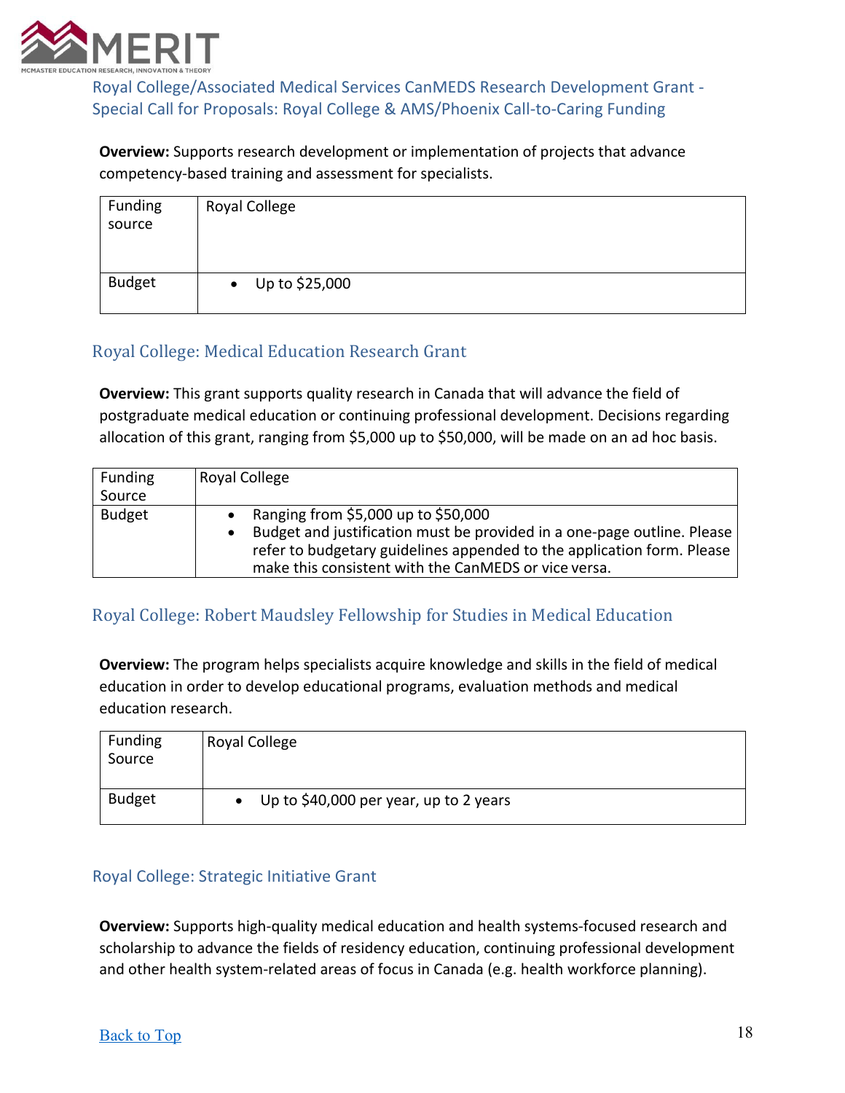

Royal College/Associated Medical Services CanMEDS Research Development Grant - Special Call for Proposals: Royal College & AMS/Phoenix Call-to-Caring Funding

**Overview:** Supports research development or implementation of projects that advance competency-based training and assessment for specialists.

| <b>Funding</b><br>source | Royal College               |
|--------------------------|-----------------------------|
| <b>Budget</b>            | Up to \$25,000<br>$\bullet$ |

# Royal College: Medical Education Research Grant

**Overview:** This grant supports quality research in Canada that will advance the field of postgraduate medical education or continuing professional development. Decisions regarding allocation of this grant, ranging from \$5,000 up to \$50,000, will be made on an ad hoc basis.

| <b>Funding</b><br>Source | <b>Royal College</b>                                                                                                                                                                                                                             |
|--------------------------|--------------------------------------------------------------------------------------------------------------------------------------------------------------------------------------------------------------------------------------------------|
| <b>Budget</b>            | Ranging from \$5,000 up to \$50,000<br>Budget and justification must be provided in a one-page outline. Please<br>refer to budgetary guidelines appended to the application form. Please<br>make this consistent with the CanMEDS or vice versa. |

# Royal College: Robert Maudsley Fellowship for Studies in Medical Education

**Overview:** The program helps specialists acquire knowledge and skills in the field of medical education in order to develop educational programs, evaluation methods and medical education research.

| <b>Funding</b><br>Source | Royal College                          |
|--------------------------|----------------------------------------|
| <b>Budget</b>            | Up to \$40,000 per year, up to 2 years |

## Royal College: Strategic Initiative Grant

**Overview:** Supports high-quality medical education and health systems-focused research and scholarship to advance the fields of residency education, continuing professional development and other health system-related areas of focus in Canada (e.g. health workforce planning).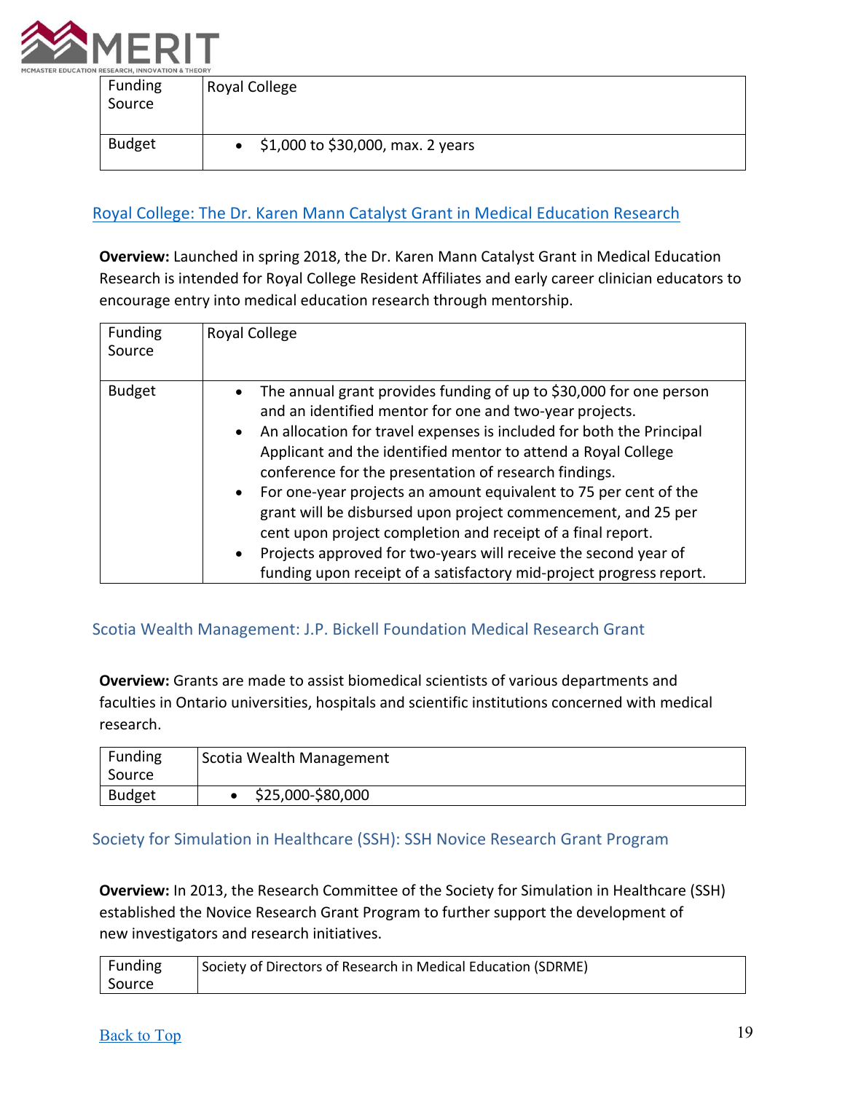

| Funding<br>Source | Royal College                     |
|-------------------|-----------------------------------|
| <b>Budget</b>     | \$1,000 to \$30,000, max. 2 years |

#### Royal College: The Dr. Karen Mann Catalyst Grant in Medical Education Research

**Overview:** Launched in spring 2018, the Dr. Karen Mann Catalyst Grant in Medical Education Research is intended for Royal College Resident Affiliates and early career clinician educators to encourage entry into medical education research through mentorship.

| <b>Funding</b><br>Source | Royal College                                                                                                                                                                                                                                                                                                                                                                                                                                                                                                                                                                                                                                                                                           |
|--------------------------|---------------------------------------------------------------------------------------------------------------------------------------------------------------------------------------------------------------------------------------------------------------------------------------------------------------------------------------------------------------------------------------------------------------------------------------------------------------------------------------------------------------------------------------------------------------------------------------------------------------------------------------------------------------------------------------------------------|
| <b>Budget</b>            | The annual grant provides funding of up to \$30,000 for one person<br>and an identified mentor for one and two-year projects.<br>An allocation for travel expenses is included for both the Principal<br>$\bullet$<br>Applicant and the identified mentor to attend a Royal College<br>conference for the presentation of research findings.<br>For one-year projects an amount equivalent to 75 per cent of the<br>$\bullet$<br>grant will be disbursed upon project commencement, and 25 per<br>cent upon project completion and receipt of a final report.<br>Projects approved for two-years will receive the second year of<br>funding upon receipt of a satisfactory mid-project progress report. |

## Scotia Wealth Management: J.P. Bickell Foundation Medical Research Grant

**Overview:** Grants are made to assist biomedical scientists of various departments and faculties in Ontario universities, hospitals and scientific institutions concerned with medical research.

| <b>Funding</b><br>Source | Scotia Wealth Management |
|--------------------------|--------------------------|
| <b>Budget</b>            | \$25,000-\$80,000        |

#### Society for Simulation in Healthcare (SSH): SSH Novice Research Grant Program

**Overview:** In 2013, the Research Committee of the Society for Simulation in Healthcare (SSH) established the Novice Research Grant Program to further support the development of new investigators and research initiatives.

| <b>Funding</b> | Society of Directors of Research in Medical Education (SDRME) |
|----------------|---------------------------------------------------------------|
| Source         |                                                               |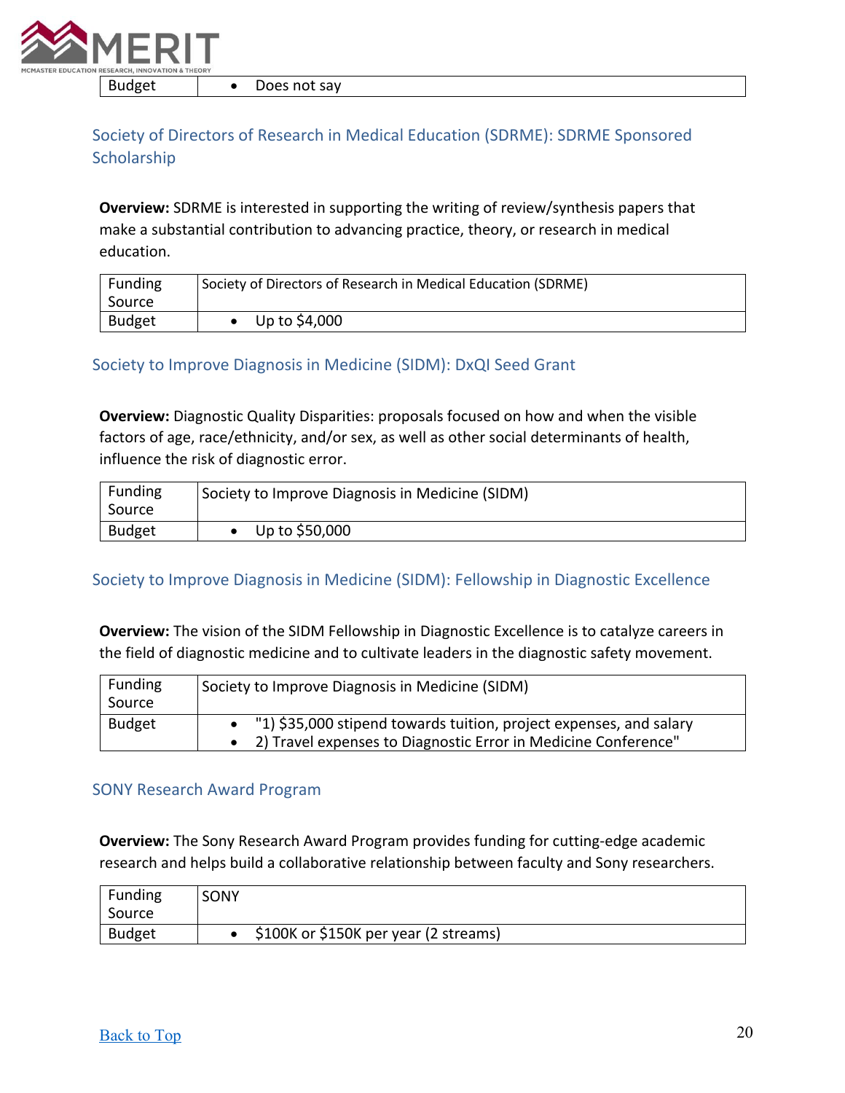

Budget | • Does not say

Society of Directors of Research in Medical Education (SDRME): SDRME Sponsored **Scholarship** 

**Overview:** SDRME is interested in supporting the writing of review/synthesis papers that make a substantial contribution to advancing practice, theory, or research in medical education.

| Funding<br>Source | Society of Directors of Research in Medical Education (SDRME) |
|-------------------|---------------------------------------------------------------|
| <b>Budget</b>     | Up to \$4,000                                                 |

#### Society to Improve Diagnosis in Medicine (SIDM): DxQI Seed Grant

**Overview:** Diagnostic Quality Disparities: proposals focused on how and when the visible factors of age, race/ethnicity, and/or sex, as well as other social determinants of health, influence the risk of diagnostic error.

| Funding<br>Source | <b>Society to Improve Diagnosis in Medicine (SIDM)</b> |
|-------------------|--------------------------------------------------------|
| <b>Budget</b>     | Up to \$50,000                                         |

Society to Improve Diagnosis in Medicine (SIDM): Fellowship in Diagnostic Excellence

**Overview:** The vision of the SIDM Fellowship in Diagnostic Excellence is to catalyze careers in the field of diagnostic medicine and to cultivate leaders in the diagnostic safety movement.

| Funding<br>Source | Society to Improve Diagnosis in Medicine (SIDM)                                                                                          |
|-------------------|------------------------------------------------------------------------------------------------------------------------------------------|
| <b>Budget</b>     | • "1) \$35,000 stipend towards tuition, project expenses, and salary<br>• 2) Travel expenses to Diagnostic Error in Medicine Conference" |

#### SONY Research Award Program

**Overview:** The Sony Research Award Program provides funding for cutting-edge academic research and helps build a collaborative relationship between faculty and Sony researchers.

| Funding<br>Source | SONY                                  |
|-------------------|---------------------------------------|
| Budget            | \$100K or \$150K per year (2 streams) |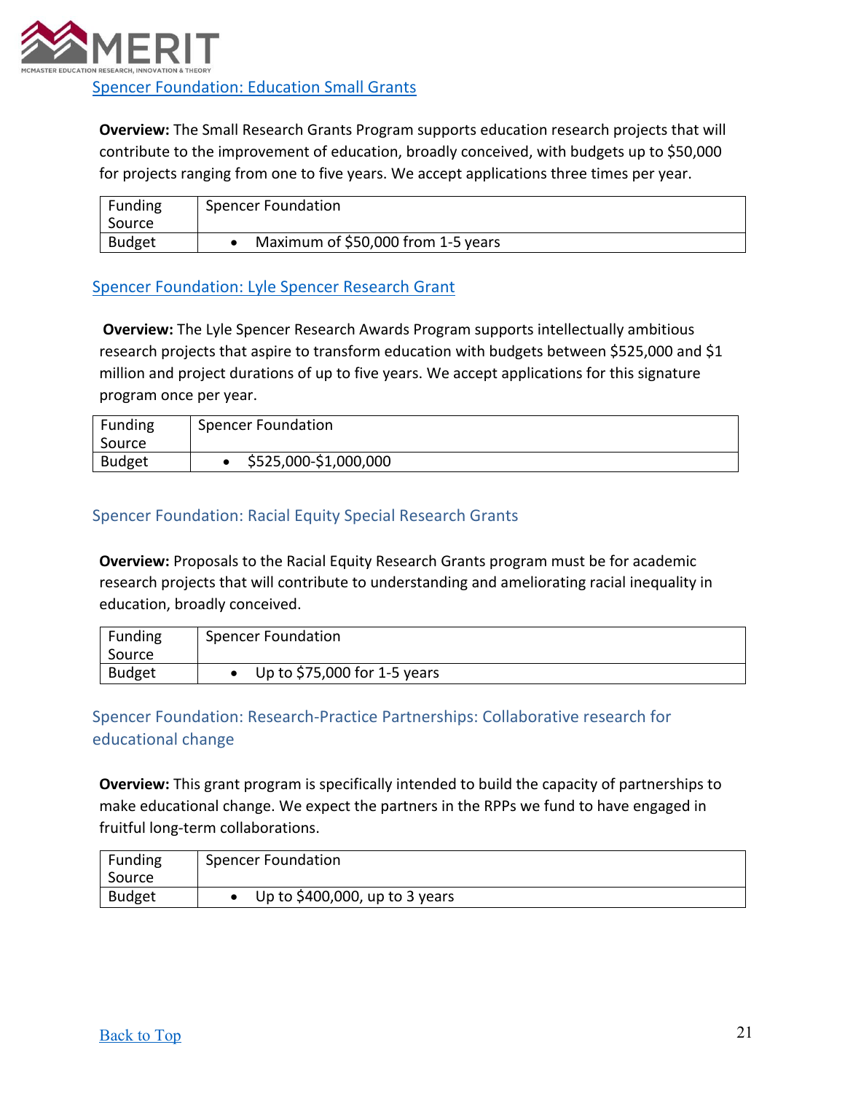

**Overview:** The Small Research Grants Program supports education research projects that will contribute to the improvement of education, broadly conceived, with budgets up to \$50,000 for projects ranging from one to five years. We accept applications three times per year.

| Funding<br>Source | <b>Spencer Foundation</b>          |
|-------------------|------------------------------------|
| <b>Budget</b>     | Maximum of \$50,000 from 1-5 years |

#### Spencer Foundation: Lyle Spencer Research Grant

**Overview:** The Lyle Spencer Research Awards Program supports intellectually ambitious research projects that aspire to transform education with budgets between \$525,000 and \$1 million and project durations of up to five years. We accept applications for this signature program once per year.

| Funding<br>Source | <b>Spencer Foundation</b> |
|-------------------|---------------------------|
| <b>Budget</b>     | \$525,000-\$1,000,000     |

#### Spencer Foundation: Racial Equity Special Research Grants

**Overview:** Proposals to the Racial Equity Research Grants program must be for academic research projects that will contribute to understanding and ameliorating racial inequality in education, broadly conceived.

| Funding       | <b>Spencer Foundation</b>    |
|---------------|------------------------------|
| Source        |                              |
| <b>Budget</b> | Up to \$75,000 for 1-5 years |

# Spencer Foundation: Research-Practice Partnerships: Collaborative research for educational change

**Overview:** This grant program is specifically intended to build the capacity of partnerships to make educational change. We expect the partners in the RPPs we fund to have engaged in fruitful long-term collaborations.

| Funding       | <b>Spencer Foundation</b>        |
|---------------|----------------------------------|
| Source        |                                  |
| <b>Budget</b> | Up to $$400,000$ , up to 3 years |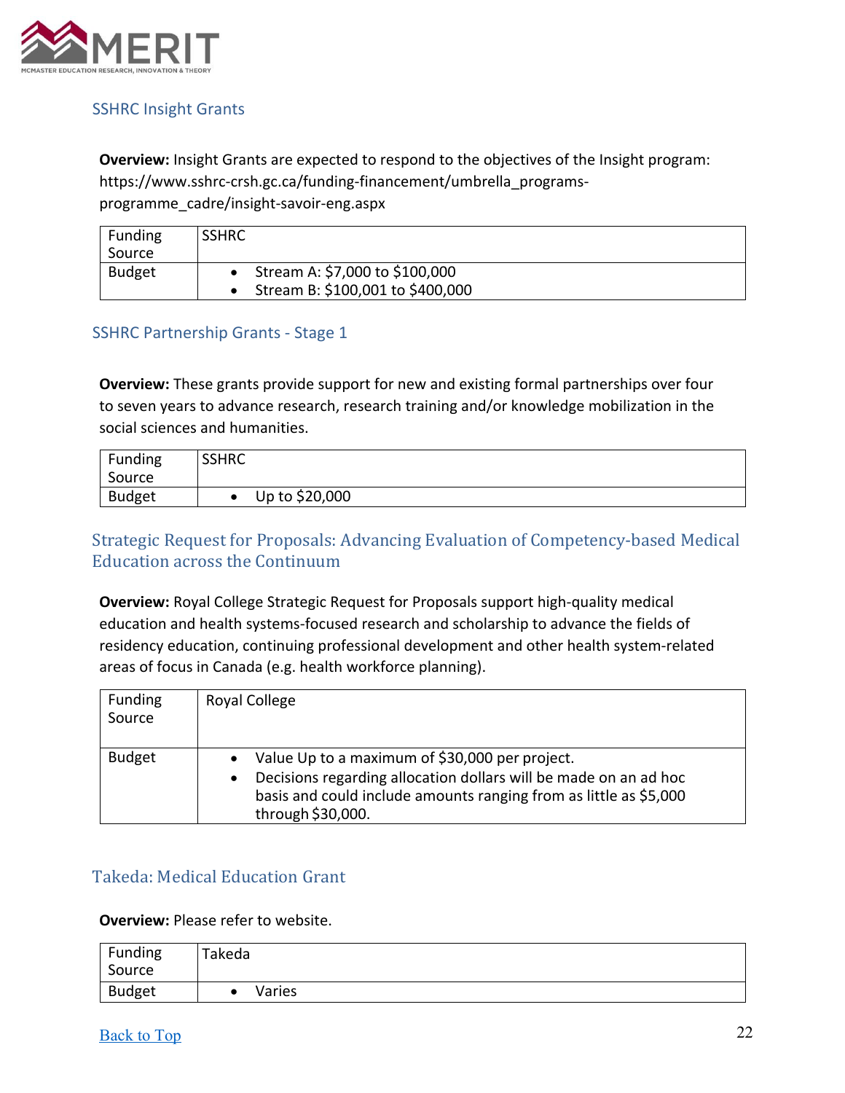

## SSHRC Insight Grants

**Overview:** Insight Grants are expected to respond to the objectives of the Insight program: https://www.sshrc-crsh.gc.ca/funding-financement/umbrella\_programs-

programme\_cadre/insight-savoir-eng.aspx

| <b>Funding</b> | <b>SSHRC</b>                       |
|----------------|------------------------------------|
| Source         |                                    |
| <b>Budget</b>  | • Stream A: $$7,000$ to $$100,000$ |
|                | Stream B: \$100,001 to \$400,000   |

#### SSHRC Partnership Grants - Stage 1

**Overview:** These grants provide support for new and existing formal partnerships over four to seven years to advance research, research training and/or knowledge mobilization in the social sciences and humanities.

| Funding<br>Source | <b>SSHRC</b>   |
|-------------------|----------------|
| <b>Budget</b>     | Up to \$20,000 |

## Strategic Request for Proposals: Advancing Evaluation of Competency-based Medical **Education across the Continuum**

**Overview:** Royal College Strategic Request for Proposals support high-quality medical education and health systems-focused research and scholarship to advance the fields of residency education, continuing professional development and other health system-related areas of focus in Canada (e.g. health workforce planning).

| <b>Funding</b><br>Source | Royal College                                                                                                                                                                                                |
|--------------------------|--------------------------------------------------------------------------------------------------------------------------------------------------------------------------------------------------------------|
| <b>Budget</b>            | Value Up to a maximum of \$30,000 per project.<br>Decisions regarding allocation dollars will be made on an ad hoc<br>basis and could include amounts ranging from as little as \$5,000<br>through \$30,000. |

# Takeda: Medical Education Grant

#### **Overview:** Please refer to website.

| Funding<br>Source | Takeda |
|-------------------|--------|
| <b>Budget</b>     | Varies |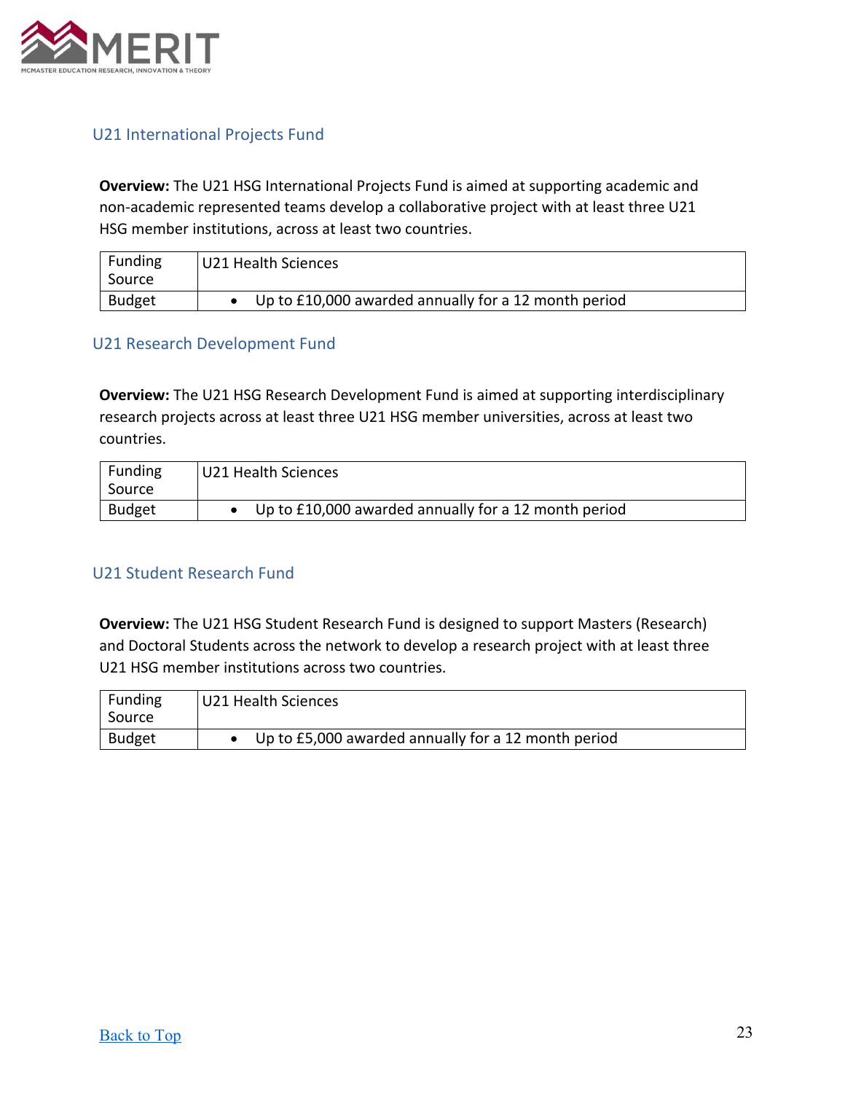

#### U21 International Projects Fund

**Overview:** The U21 HSG International Projects Fund is aimed at supporting academic and non-academic represented teams develop a collaborative project with at least three U21 HSG member institutions, across at least two countries.

| <b>Funding</b><br>Source | U21 Health Sciences                                  |
|--------------------------|------------------------------------------------------|
| <b>Budget</b>            | Up to £10,000 awarded annually for a 12 month period |

#### U21 Research Development Fund

**Overview:** The U21 HSG Research Development Fund is aimed at supporting interdisciplinary research projects across at least three U21 HSG member universities, across at least two countries.

| Funding<br>Source | U21 Health Sciences                                  |
|-------------------|------------------------------------------------------|
| <b>Budget</b>     | Up to £10,000 awarded annually for a 12 month period |

#### U21 Student Research Fund

**Overview:** The U21 HSG Student Research Fund is designed to support Masters (Research) and Doctoral Students across the network to develop a research project with at least three U21 HSG member institutions across two countries.

| Funding<br>Source | U21 Health Sciences                                 |
|-------------------|-----------------------------------------------------|
| <b>Budget</b>     | Up to £5,000 awarded annually for a 12 month period |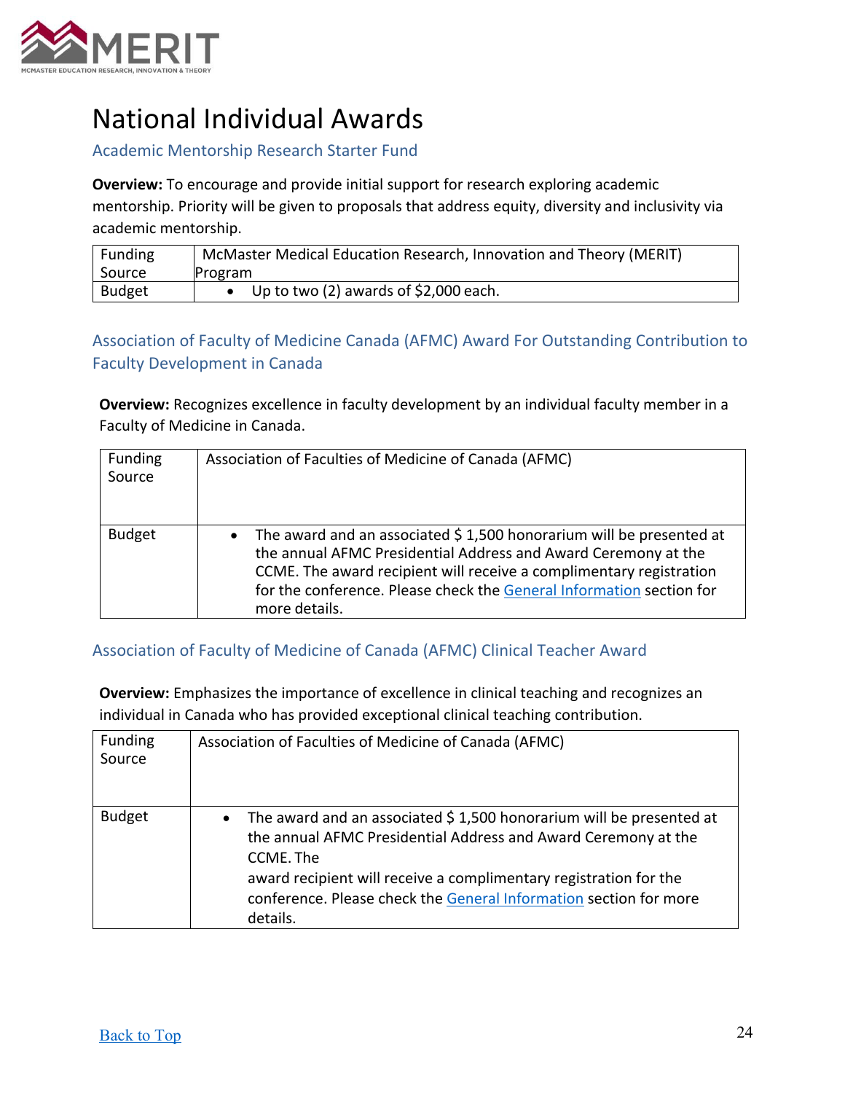

# National Individual Awards

Academic Mentorship Research Starter Fund

**Overview:** To encourage and provide initial support for research exploring academic mentorship. Priority will be given to proposals that address equity, diversity and inclusivity via academic mentorship.

| Funding       | McMaster Medical Education Research, Innovation and Theory (MERIT) |
|---------------|--------------------------------------------------------------------|
| Source        | Program                                                            |
| <b>Budget</b> | Up to two $(2)$ awards of \$2,000 each.                            |

# Association of Faculty of Medicine Canada (AFMC) Award For Outstanding Contribution to Faculty Development in Canada

**Overview:** Recognizes excellence in faculty development by an individual faculty member in a Faculty of Medicine in Canada.

| <b>Funding</b><br>Source | Association of Faculties of Medicine of Canada (AFMC)                                                                                                                                                                                                                                                               |
|--------------------------|---------------------------------------------------------------------------------------------------------------------------------------------------------------------------------------------------------------------------------------------------------------------------------------------------------------------|
| <b>Budget</b>            | The award and an associated $$1,500$ honorarium will be presented at<br>$\bullet$<br>the annual AFMC Presidential Address and Award Ceremony at the<br>CCME. The award recipient will receive a complimentary registration<br>for the conference. Please check the General Information section for<br>more details. |

#### Association of Faculty of Medicine of Canada (AFMC) Clinical Teacher Award

**Overview:** Emphasizes the importance of excellence in clinical teaching and recognizes an individual in Canada who has provided exceptional clinical teaching contribution.

| Funding<br>Source | Association of Faculties of Medicine of Canada (AFMC)                                                                                                                                                                                                                                                                 |
|-------------------|-----------------------------------------------------------------------------------------------------------------------------------------------------------------------------------------------------------------------------------------------------------------------------------------------------------------------|
| <b>Budget</b>     | The award and an associated \$1,500 honorarium will be presented at<br>$\bullet$<br>the annual AFMC Presidential Address and Award Ceremony at the<br>CCME. The<br>award recipient will receive a complimentary registration for the<br>conference. Please check the General Information section for more<br>details. |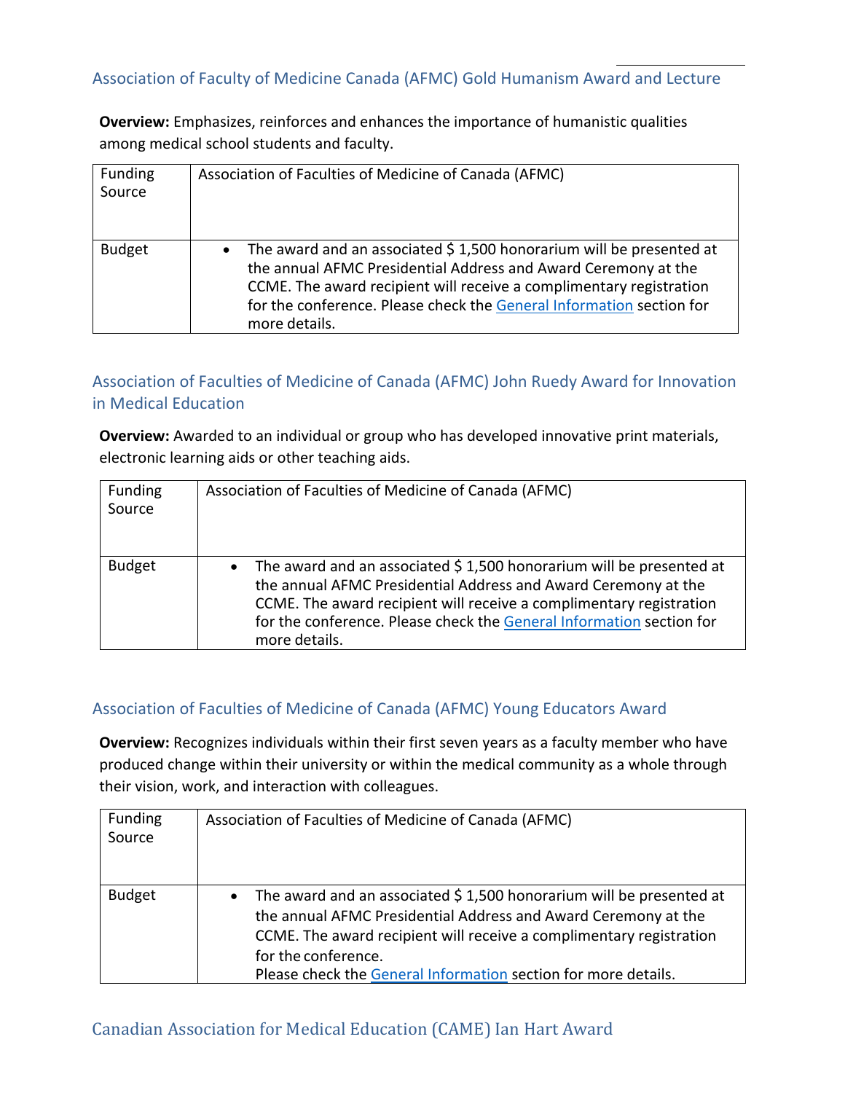**Overview:** Emphasizes, reinforces and enhances the importance of humanistic qualities among medical school students and faculty.

| <b>Funding</b><br>Source | Association of Faculties of Medicine of Canada (AFMC)                                                                                                                                                                                                                                                                          |
|--------------------------|--------------------------------------------------------------------------------------------------------------------------------------------------------------------------------------------------------------------------------------------------------------------------------------------------------------------------------|
| <b>Budget</b>            | The award and an associated $\frac{2}{3}$ 1,500 honorarium will be presented at<br>$\bullet$<br>the annual AFMC Presidential Address and Award Ceremony at the<br>CCME. The award recipient will receive a complimentary registration<br>for the conference. Please check the General Information section for<br>more details. |

# Association of Faculties of Medicine of Canada (AFMC) John Ruedy Award for Innovation in Medical Education

**Overview:** Awarded to an individual or group who has developed innovative print materials, electronic learning aids or other teaching aids.

| <b>Funding</b><br>Source | Association of Faculties of Medicine of Canada (AFMC)                                                                                                                                                                                                                                                              |
|--------------------------|--------------------------------------------------------------------------------------------------------------------------------------------------------------------------------------------------------------------------------------------------------------------------------------------------------------------|
| <b>Budget</b>            | The award and an associated \$1,500 honorarium will be presented at<br>$\bullet$<br>the annual AFMC Presidential Address and Award Ceremony at the<br>CCME. The award recipient will receive a complimentary registration<br>for the conference. Please check the General Information section for<br>more details. |

## Association of Faculties of Medicine of Canada (AFMC) Young Educators Award

**Overview:** Recognizes individuals within their first seven years as a faculty member who have produced change within their university or within the medical community as a whole through their vision, work, and interaction with colleagues.

| Funding<br>Source | Association of Faculties of Medicine of Canada (AFMC)                                                                                                                                                                                                                                                                          |
|-------------------|--------------------------------------------------------------------------------------------------------------------------------------------------------------------------------------------------------------------------------------------------------------------------------------------------------------------------------|
| <b>Budget</b>     | The award and an associated $\frac{2}{3}$ 1,500 honorarium will be presented at<br>$\bullet$<br>the annual AFMC Presidential Address and Award Ceremony at the<br>CCME. The award recipient will receive a complimentary registration<br>for the conference.<br>Please check the General Information section for more details. |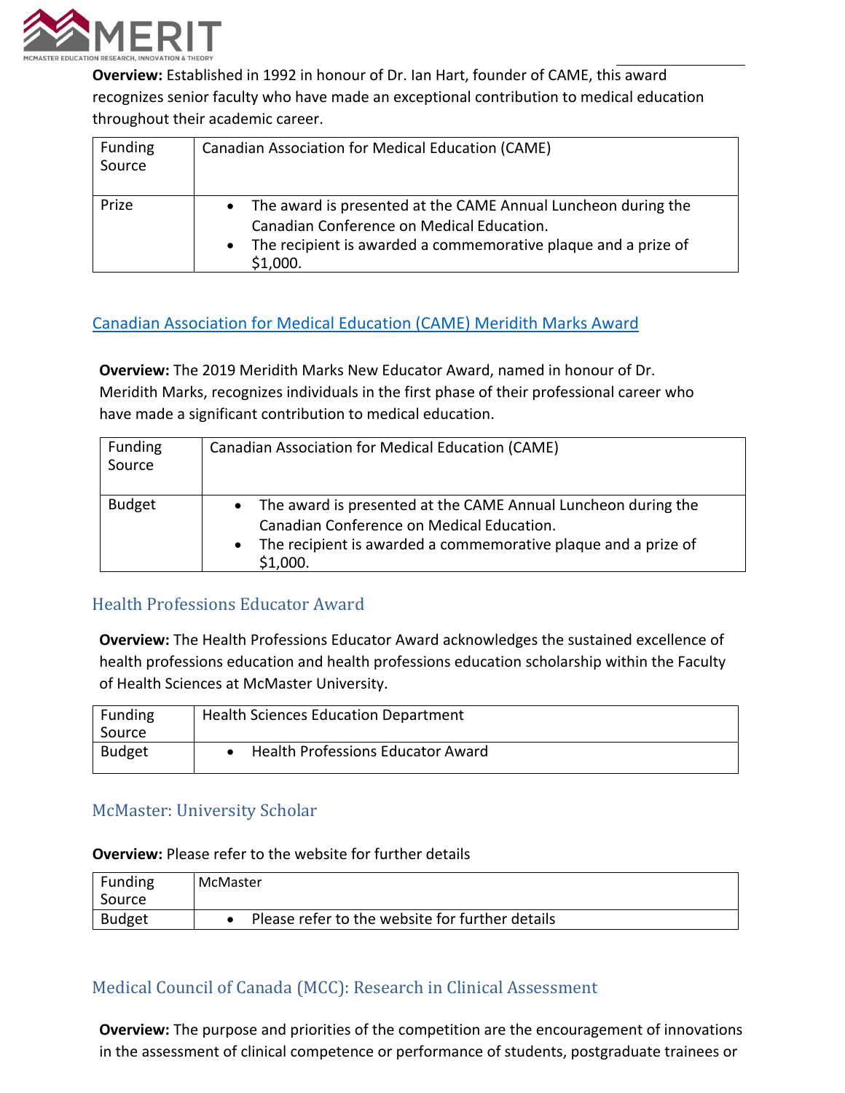

**Overview:** Established in 1992 in honour of Dr. Ian Hart, founder of CAME, this award recognizes senior faculty who have made an exceptional contribution to medical education throughout their academic career.

| <b>Funding</b><br>Source | <b>Canadian Association for Medical Education (CAME)</b>                                                                                                                                                           |
|--------------------------|--------------------------------------------------------------------------------------------------------------------------------------------------------------------------------------------------------------------|
| Prize                    | The award is presented at the CAME Annual Luncheon during the<br>$\bullet$<br>Canadian Conference on Medical Education.<br>The recipient is awarded a commemorative plaque and a prize of<br>$\bullet$<br>\$1,000. |

#### Canadian Association for Medical Education (CAME) Meridith Marks Award

**Overview:** The 2019 Meridith Marks New Educator Award, named in honour of Dr. Meridith Marks, recognizes individuals in the first phase of their professional career who have made a significant contribution to medical education.

| Funding<br>Source | <b>Canadian Association for Medical Education (CAME)</b>                                                                                                                                 |
|-------------------|------------------------------------------------------------------------------------------------------------------------------------------------------------------------------------------|
| <b>Budget</b>     | The award is presented at the CAME Annual Luncheon during the<br>Canadian Conference on Medical Education.<br>The recipient is awarded a commemorative plaque and a prize of<br>\$1,000. |

## Health Professions Educator Award

**Overview:** The Health Professions Educator Award acknowledges the sustained excellence of health professions education and health professions education scholarship within the Faculty of Health Sciences at McMaster University.

| Funding<br>Source | <b>Health Sciences Education Department</b> |
|-------------------|---------------------------------------------|
| <b>Budget</b>     | <b>Health Professions Educator Award</b>    |

## McMaster: University Scholar

#### **Overview:** Please refer to the website for further details

| Funding<br>Source | McMaster                                        |
|-------------------|-------------------------------------------------|
| <b>Budget</b>     | Please refer to the website for further details |

## Medical Council of Canada (MCC): Research in Clinical Assessment

**Overview:** The purpose and priorities of the competition are the encouragement of innovations in the assessment of clinical competence or performance of students, postgraduate trainees or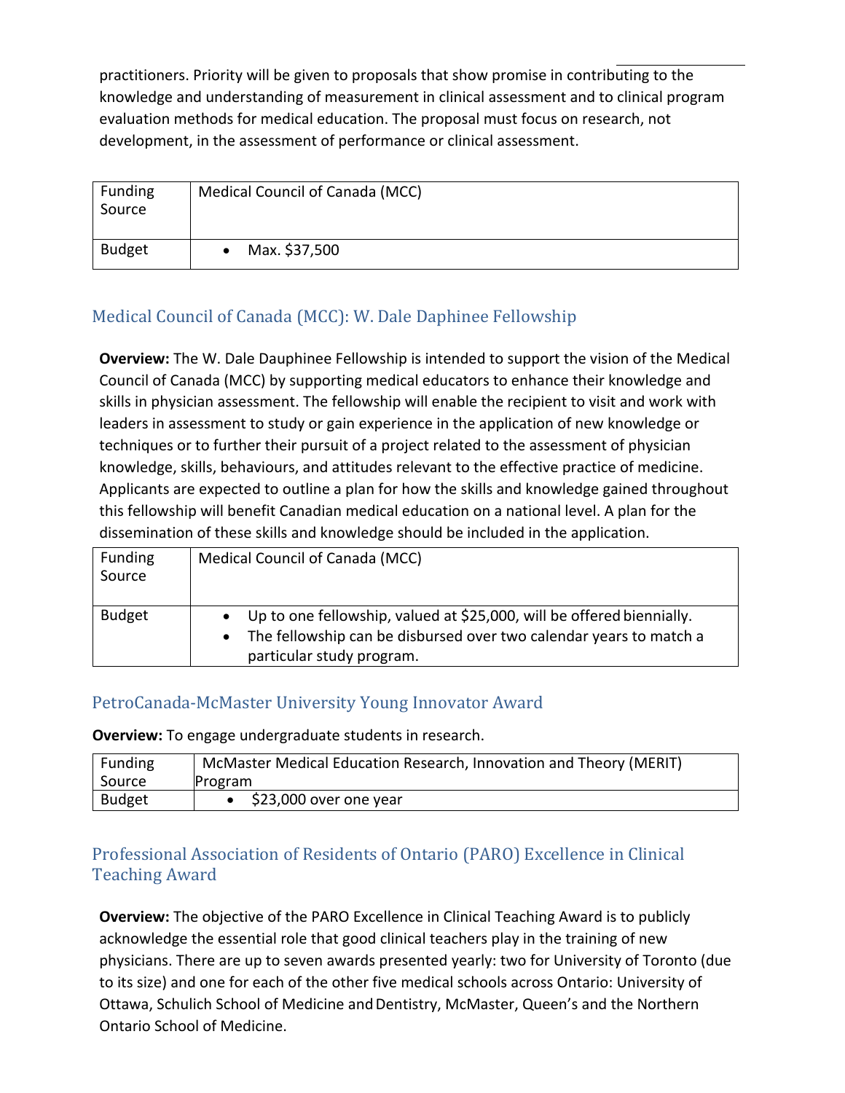practitioners. Priority will be given to proposals that show promise in contributing to the knowledge and understanding of measurement in clinical assessment and to clinical program evaluation methods for medical education. The proposal must focus on research, not development, in the assessment of performance or clinical assessment.

| Funding<br>Source | Medical Council of Canada (MCC) |
|-------------------|---------------------------------|
| <b>Budget</b>     | Max. \$37,500                   |

# Medical Council of Canada (MCC): W. Dale Daphinee Fellowship

**Overview:** The W. Dale Dauphinee Fellowship is intended to support the vision of the Medical Council of Canada (MCC) by supporting medical educators to enhance their knowledge and skills in physician assessment. The fellowship will enable the recipient to visit and work with leaders in assessment to study or gain experience in the application of new knowledge or techniques or to further their pursuit of a project related to the assessment of physician knowledge, skills, behaviours, and attitudes relevant to the effective practice of medicine. Applicants are expected to outline a plan for how the skills and knowledge gained throughout this fellowship will benefit Canadian medical education on a national level. A plan for the dissemination of these skills and knowledge should be included in the application.

| <b>Funding</b><br>Source | Medical Council of Canada (MCC)                                                                                                                                            |
|--------------------------|----------------------------------------------------------------------------------------------------------------------------------------------------------------------------|
| <b>Budget</b>            | • Up to one fellowship, valued at \$25,000, will be offered biennially.<br>The fellowship can be disbursed over two calendar years to match a<br>particular study program. |

# PetroCanada-McMaster University Young Innovator Award

**Overview:** To engage undergraduate students in research.

| Funding       | McMaster Medical Education Research, Innovation and Theory (MERIT) |
|---------------|--------------------------------------------------------------------|
| Source        | Program                                                            |
| <b>Budget</b> | \$23,000 over one year                                             |

# Professional Association of Residents of Ontario (PARO) Excellence in Clinical **Teaching Award**

**Overview:** The objective of the PARO Excellence in Clinical Teaching Award is to publicly acknowledge the essential role that good clinical teachers play in the training of new physicians. There are up to seven awards presented yearly: two for University of Toronto (due to its size) and one for each of the other five medical schools across Ontario: University of Ottawa, Schulich School of Medicine and Dentistry, McMaster, Queen's and the Northern Ontario School of Medicine.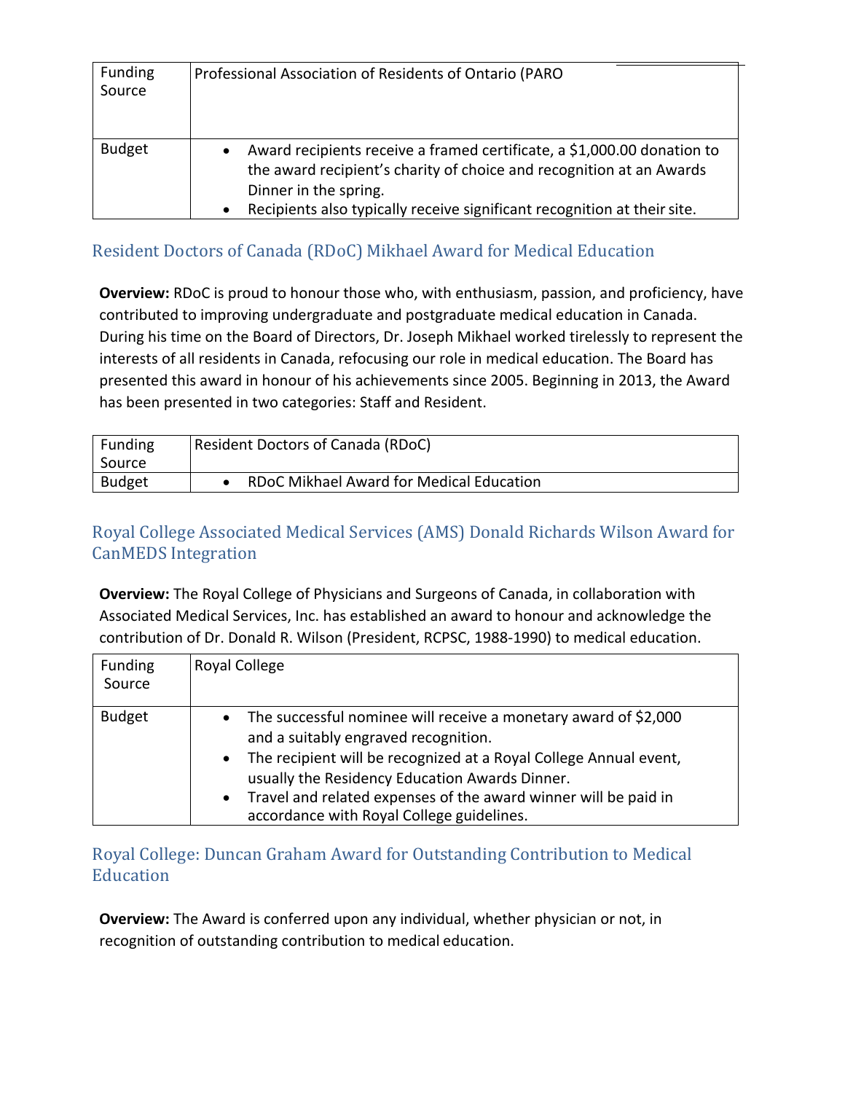| <b>Funding</b><br>Source | Professional Association of Residents of Ontario (PARO                                                                                                                                                                                               |
|--------------------------|------------------------------------------------------------------------------------------------------------------------------------------------------------------------------------------------------------------------------------------------------|
| <b>Budget</b>            | Award recipients receive a framed certificate, a \$1,000.00 donation to<br>the award recipient's charity of choice and recognition at an Awards<br>Dinner in the spring.<br>Recipients also typically receive significant recognition at their site. |

# Resident Doctors of Canada (RDoC) Mikhael Award for Medical Education

**Overview:** RDoC is proud to honour those who, with enthusiasm, passion, and proficiency, have contributed to improving undergraduate and postgraduate medical education in Canada. During his time on the Board of Directors, Dr. Joseph Mikhael worked tirelessly to represent the interests of all residents in Canada, refocusing our role in medical education. The Board has presented this award in honour of his achievements since 2005. Beginning in 2013, the Award has been presented in two categories: Staff and Resident.

| Funding<br>Source | Resident Doctors of Canada (RDoC)        |
|-------------------|------------------------------------------|
| <b>Budget</b>     | RDoC Mikhael Award for Medical Education |

# Royal College Associated Medical Services (AMS) Donald Richards Wilson Award for CanMEDS Integration

**Overview:** The Royal College of Physicians and Surgeons of Canada, in collaboration with Associated Medical Services, Inc. has established an award to honour and acknowledge the contribution of Dr. Donald R. Wilson (President, RCPSC, 1988-1990) to medical education.

| <b>Funding</b><br>Source | <b>Royal College</b>                                                                                                                                                                                                                                                                                                                                                                  |
|--------------------------|---------------------------------------------------------------------------------------------------------------------------------------------------------------------------------------------------------------------------------------------------------------------------------------------------------------------------------------------------------------------------------------|
| <b>Budget</b>            | The successful nominee will receive a monetary award of \$2,000<br>$\bullet$<br>and a suitably engraved recognition.<br>The recipient will be recognized at a Royal College Annual event,<br>$\bullet$<br>usually the Residency Education Awards Dinner.<br>Travel and related expenses of the award winner will be paid in<br>$\bullet$<br>accordance with Royal College guidelines. |

# Royal College: Duncan Graham Award for Outstanding Contribution to Medical **Education**

**Overview:** The Award is conferred upon any individual, whether physician or not, in recognition of outstanding contribution to medical education.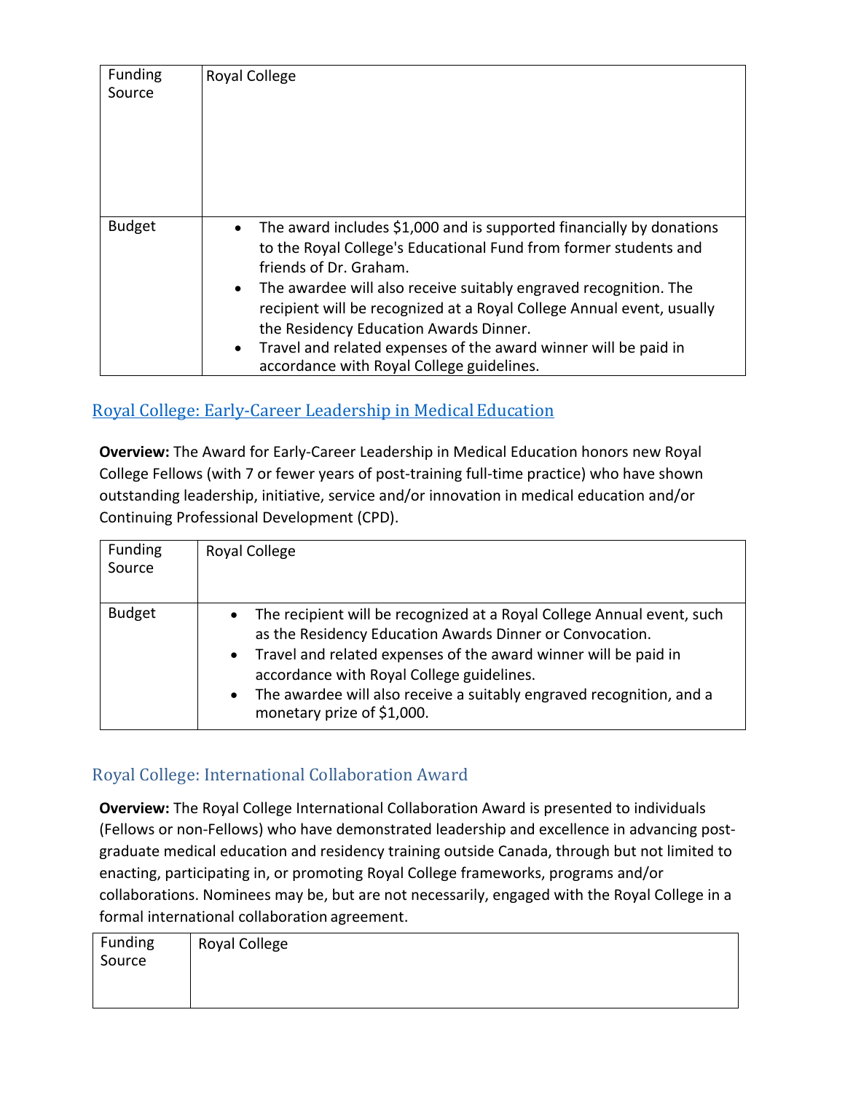| <b>Funding</b><br>Source | Royal College                                                                                                                                                                                                                                                                                                                                                                                                                                                                                                    |
|--------------------------|------------------------------------------------------------------------------------------------------------------------------------------------------------------------------------------------------------------------------------------------------------------------------------------------------------------------------------------------------------------------------------------------------------------------------------------------------------------------------------------------------------------|
| <b>Budget</b>            | The award includes \$1,000 and is supported financially by donations<br>$\bullet$<br>to the Royal College's Educational Fund from former students and<br>friends of Dr. Graham.<br>The awardee will also receive suitably engraved recognition. The<br>$\bullet$<br>recipient will be recognized at a Royal College Annual event, usually<br>the Residency Education Awards Dinner.<br>Travel and related expenses of the award winner will be paid in<br>$\bullet$<br>accordance with Royal College guidelines. |

# Royal College: Early-Career Leadership in Medical Education

**Overview:** The Award for Early-Career Leadership in Medical Education honors new Royal College Fellows (with 7 or fewer years of post-training full-time practice) who have shown outstanding leadership, initiative, service and/or innovation in medical education and/or Continuing Professional Development (CPD).

| <b>Funding</b><br>Source | Royal College                                                                                                                                                                                                                                                                                                                                                                        |
|--------------------------|--------------------------------------------------------------------------------------------------------------------------------------------------------------------------------------------------------------------------------------------------------------------------------------------------------------------------------------------------------------------------------------|
| <b>Budget</b>            | The recipient will be recognized at a Royal College Annual event, such<br>$\bullet$<br>as the Residency Education Awards Dinner or Convocation.<br>• Travel and related expenses of the award winner will be paid in<br>accordance with Royal College guidelines.<br>The awardee will also receive a suitably engraved recognition, and a<br>$\bullet$<br>monetary prize of \$1,000. |

# Royal College: International Collaboration Award

**Overview:** The Royal College International Collaboration Award is presented to individuals (Fellows or non-Fellows) who have demonstrated leadership and excellence in advancing postgraduate medical education and residency training outside Canada, through but not limited to enacting, participating in, or promoting Royal College frameworks, programs and/or collaborations. Nominees may be, but are not necessarily, engaged with the Royal College in a formal international collaboration agreement.

| Funding<br>Source | Royal College |
|-------------------|---------------|
|                   |               |
|                   |               |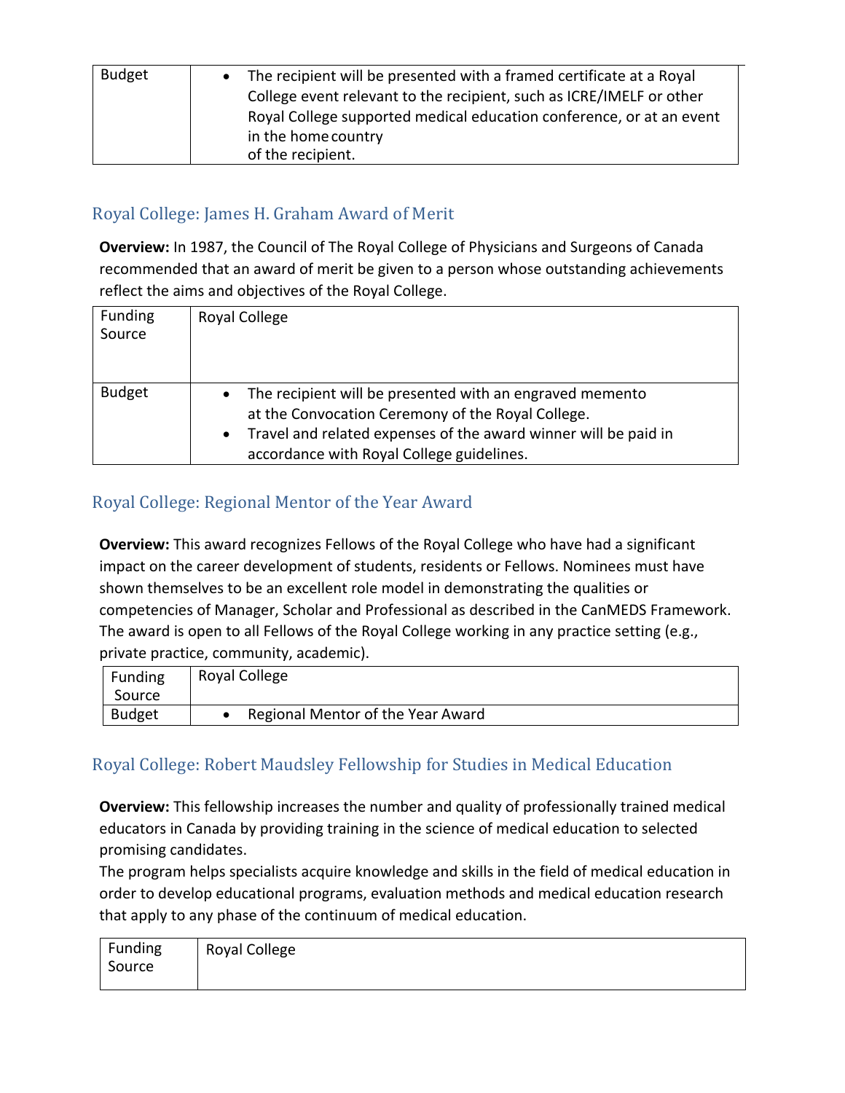| <b>Budget</b> | The recipient will be presented with a framed certificate at a Royal<br>College event relevant to the recipient, such as ICRE/IMELF or other<br>Royal College supported medical education conference, or at an event |
|---------------|----------------------------------------------------------------------------------------------------------------------------------------------------------------------------------------------------------------------|
|               | in the home country<br>of the recipient.                                                                                                                                                                             |

# Royal College: James H. Graham Award of Merit

**Overview:** In 1987, the Council of The Royal College of Physicians and Surgeons of Canada recommended that an award of merit be given to a person whose outstanding achievements reflect the aims and objectives of the Royal College.

| <b>Funding</b><br>Source | Royal College                                                                                                                                                                                                                                |
|--------------------------|----------------------------------------------------------------------------------------------------------------------------------------------------------------------------------------------------------------------------------------------|
| <b>Budget</b>            | • The recipient will be presented with an engraved memento<br>at the Convocation Ceremony of the Royal College.<br>Travel and related expenses of the award winner will be paid in<br>$\bullet$<br>accordance with Royal College guidelines. |

# Royal College: Regional Mentor of the Year Award

**Overview:** This award recognizes Fellows of the Royal College who have had a significant impact on the career development of students, residents or Fellows. Nominees must have shown themselves to be an excellent role model in demonstrating the qualities or competencies of Manager, Scholar and Professional as described in the CanMEDS Framework. The award is open to all Fellows of the Royal College working in any practice setting (e.g., private practice, community, academic).

| Funding       | Royal College                     |
|---------------|-----------------------------------|
| Source        |                                   |
| <b>Budget</b> | Regional Mentor of the Year Award |

# Royal College: Robert Maudsley Fellowship for Studies in Medical Education

**Overview:** This fellowship increases the number and quality of professionally trained medical educators in Canada by providing training in the science of medical education to selected promising candidates.

The program helps specialists acquire knowledge and skills in the field of medical education in order to develop educational programs, evaluation methods and medical education research that apply to any phase of the continuum of medical education.

| Funding<br>Source | Royal College |
|-------------------|---------------|
|-------------------|---------------|